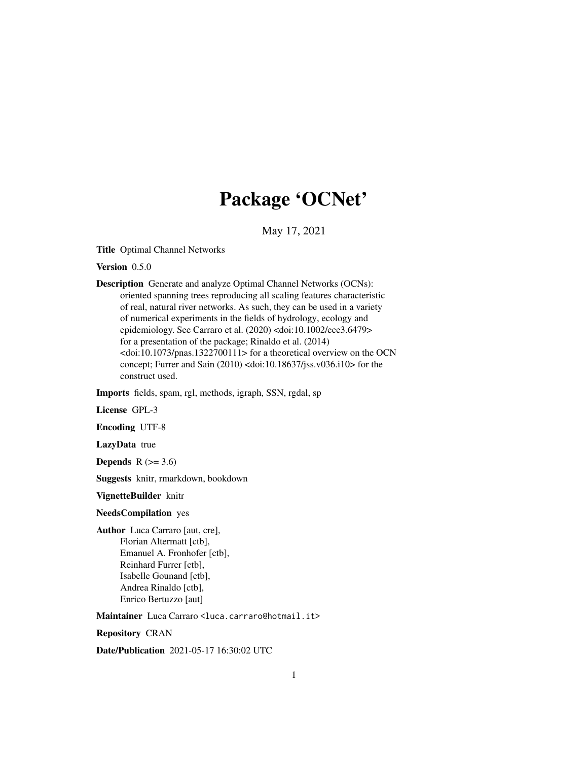# Package 'OCNet'

May 17, 2021

<span id="page-0-0"></span>Title Optimal Channel Networks

Version 0.5.0

Description Generate and analyze Optimal Channel Networks (OCNs): oriented spanning trees reproducing all scaling features characteristic of real, natural river networks. As such, they can be used in a variety of numerical experiments in the fields of hydrology, ecology and epidemiology. See Carraro et al. (2020) <doi:10.1002/ece3.6479> for a presentation of the package; Rinaldo et al. (2014)  $<$ doi:10.1073/pnas.1322700111> for a theoretical overview on the OCN concept; Furrer and Sain (2010) <doi:10.18637/jss.v036.i10> for the construct used.

Imports fields, spam, rgl, methods, igraph, SSN, rgdal, sp

License GPL-3

Encoding UTF-8

LazyData true

Depends  $R$  ( $>= 3.6$ )

Suggests knitr, rmarkdown, bookdown

VignetteBuilder knitr

# NeedsCompilation yes

Author Luca Carraro [aut, cre], Florian Altermatt [ctb], Emanuel A. Fronhofer [ctb], Reinhard Furrer [ctb], Isabelle Gounand [ctb], Andrea Rinaldo [ctb], Enrico Bertuzzo [aut]

Maintainer Luca Carraro <luca.carraro@hotmail.it>

Repository CRAN

Date/Publication 2021-05-17 16:30:02 UTC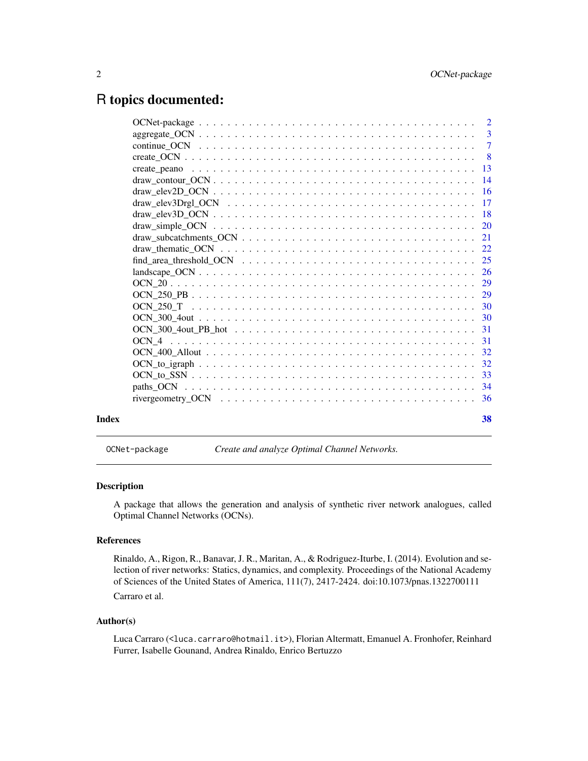# <span id="page-1-0"></span>R topics documented:

|       | $\overline{2}$ |
|-------|----------------|
|       | $\overline{3}$ |
|       | $\overline{7}$ |
|       |                |
|       | -13            |
|       |                |
|       | 16             |
|       |                |
|       |                |
|       |                |
|       |                |
|       |                |
|       |                |
|       |                |
|       |                |
|       |                |
|       |                |
|       |                |
|       |                |
|       |                |
|       |                |
|       |                |
|       |                |
|       |                |
|       |                |
| Index | 38             |

OCNet-package *Create and analyze Optimal Channel Networks.*

# Description

A package that allows the generation and analysis of synthetic river network analogues, called Optimal Channel Networks (OCNs).

#### References

Rinaldo, A., Rigon, R., Banavar, J. R., Maritan, A., & Rodriguez-Iturbe, I. (2014). Evolution and selection of river networks: Statics, dynamics, and complexity. Proceedings of the National Academy of Sciences of the United States of America, 111(7), 2417-2424. doi:10.1073/pnas.1322700111

Carraro et al.

#### Author(s)

Luca Carraro (<luca.carraro@hotmail.it>), Florian Altermatt, Emanuel A. Fronhofer, Reinhard Furrer, Isabelle Gounand, Andrea Rinaldo, Enrico Bertuzzo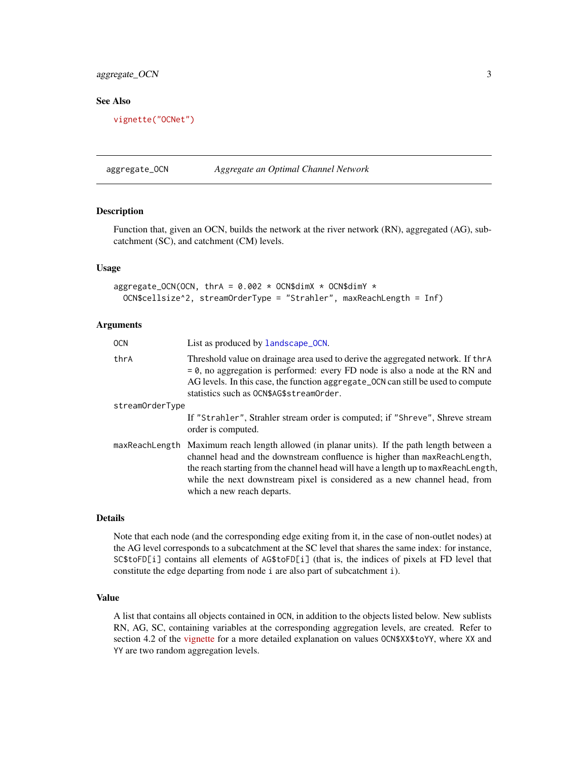# <span id="page-2-0"></span>aggregate\_OCN 3

# See Also

[vignette\("OCNet"\)](../doc/OCNet.html)

<span id="page-2-1"></span>aggregate\_OCN *Aggregate an Optimal Channel Network*

# Description

Function that, given an OCN, builds the network at the river network (RN), aggregated (AG), subcatchment (SC), and catchment (CM) levels.

#### Usage

```
aggregate_OCN(OCN, thrA = 0.002 \times OCN$dimX \times OCN$dimY \timesOCN$cellsize^2, streamOrderType = "Strahler", maxReachLength = Inf)
```
#### Arguments

| <b>OCN</b>      | List as produced by landscape_OCN.                                                                                                                                                                                                                                                                                                                                       |
|-----------------|--------------------------------------------------------------------------------------------------------------------------------------------------------------------------------------------------------------------------------------------------------------------------------------------------------------------------------------------------------------------------|
| thrA            | Threshold value on drainage area used to derive the aggregated network. If thra<br>$= 0$ , no aggregation is performed: every FD node is also a node at the RN and<br>AG levels. In this case, the function aggregate_OCN can still be used to compute<br>statistics such as OCN\$AG\$streamOrder.                                                                       |
| streamOrderType |                                                                                                                                                                                                                                                                                                                                                                          |
|                 | If "Strahler", Strahler stream order is computed; if "Shreve", Shreve stream<br>order is computed.                                                                                                                                                                                                                                                                       |
|                 | maxReachLength Maximum reach length allowed (in planar units). If the path length between a<br>channel head and the downstream confluence is higher than maxReachLength,<br>the reach starting from the channel head will have a length up to maxReachLength,<br>while the next downstream pixel is considered as a new channel head, from<br>which a new reach departs. |

#### Details

Note that each node (and the corresponding edge exiting from it, in the case of non-outlet nodes) at the AG level corresponds to a subcatchment at the SC level that shares the same index: for instance, SC\$toFD[i] contains all elements of AG\$toFD[i] (that is, the indices of pixels at FD level that constitute the edge departing from node i are also part of subcatchment i).

#### Value

A list that contains all objects contained in OCN, in addition to the objects listed below. New sublists RN, AG, SC, containing variables at the corresponding aggregation levels, are created. Refer to section 4.2 of the [vignette](../doc/OCNet.html) for a more detailed explanation on values OCN\$XX\$toYY, where XX and YY are two random aggregation levels.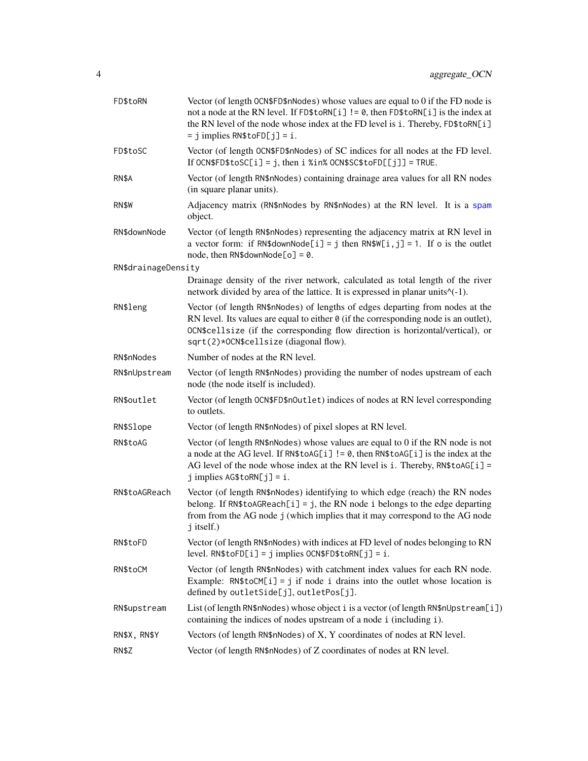<span id="page-3-0"></span>

| FD\$toRN            | Vector (of length OCN\$FD\$nNodes) whose values are equal to 0 if the FD node is<br>not a node at the RN level. If FD\$toRN[i] != 0, then FD\$toRN[i] is the index at<br>the RN level of the node whose index at the FD level is i. Thereby, FD\$toRN[i]<br>$=$ j implies RN\$toFD[j] = i.              |
|---------------------|---------------------------------------------------------------------------------------------------------------------------------------------------------------------------------------------------------------------------------------------------------------------------------------------------------|
| FD\$toSC            | Vector (of length OCN\$FD\$nNodes) of SC indices for all nodes at the FD level.<br>If OCN\$FD\$toSC[i] = j, then i %in% OCN\$SC\$toFD[[j]] = TRUE.                                                                                                                                                      |
| RN\$A               | Vector (of length RN\$nNodes) containing drainage area values for all RN nodes<br>(in square planar units).                                                                                                                                                                                             |
| RN\$W               | Adjacency matrix (RN\$nNodes by RN\$nNodes) at the RN level. It is a spam<br>object.                                                                                                                                                                                                                    |
| RN\$downNode        | Vector (of length RN\$nNodes) representing the adjacency matrix at RN level in<br>a vector form: if RN\$downNode[i] = j then RN\$W[i, j] = 1. If o is the outlet<br>node, then RN\$downNode[o] = $0$ .                                                                                                  |
| RN\$drainageDensity |                                                                                                                                                                                                                                                                                                         |
|                     | Drainage density of the river network, calculated as total length of the river<br>network divided by area of the lattice. It is expressed in planar units <sup><math>\wedge</math>(-1).</sup>                                                                                                           |
| RN\$leng            | Vector (of length RN\$nNodes) of lengths of edges departing from nodes at the<br>RN level. Its values are equal to either $\theta$ (if the corresponding node is an outlet),<br>OCN\$cellsize (if the corresponding flow direction is horizontal/vertical), or<br>sqrt(2)*OCN\$cellsize(diagonal flow). |
| RN\$nNodes          | Number of nodes at the RN level.                                                                                                                                                                                                                                                                        |
| RN\$nUpstream       | Vector (of length RN\$nNodes) providing the number of nodes upstream of each<br>node (the node itself is included).                                                                                                                                                                                     |
| RN\$outlet          | Vector (of length OCN\$FD\$nOutlet) indices of nodes at RN level corresponding<br>to outlets.                                                                                                                                                                                                           |
| RN\$Slope           | Vector (of length RN\$nNodes) of pixel slopes at RN level.                                                                                                                                                                                                                                              |
| RN\$toAG            | Vector (of length RN\$nNodes) whose values are equal to 0 if the RN node is not<br>a node at the AG level. If RN\$toAG[i] != 0, then RN\$toAG[i] is the index at the<br>AG level of the node whose index at the RN level is i. Thereby, RN\$toAG[i] =<br>$j$ implies AG\$toRN[ $j$ ] = i.               |
| RN\$toAGReach       | Vector (of length RN\$nNodes) identifying to which edge (reach) the RN nodes<br>belong. If RN\$toAGReach[i] = j, the RN node i belongs to the edge departing<br>from from the AG node j (which implies that it may correspond to the AG node<br>j itself.)                                              |
| RN\$toFD            | Vector (of length RN\$nNodes) with indices at FD level of nodes belonging to RN<br>$level. RN$toFD[i] = j implies OCN$FD$to RN[j] = i.$                                                                                                                                                                 |
| RN\$toCM            | Vector (of length RN\$nNodes) with catchment index values for each RN node.<br>Example: $RN$toCM[i] = j$ if node i drains into the outlet whose location is<br>defined by outletSide[j], outletPos[j].                                                                                                  |
| RN\$upstream        | List (of length RN\$nNodes) whose object i is a vector (of length RN\$nUpstream[i])<br>containing the indices of nodes upstream of a node i (including i).                                                                                                                                              |
| RN\$X, RN\$Y        | Vectors (of length RN\$nNodes) of X, Y coordinates of nodes at RN level.                                                                                                                                                                                                                                |
| RN\$Z               | Vector (of length RN\$nNodes) of Z coordinates of nodes at RN level.                                                                                                                                                                                                                                    |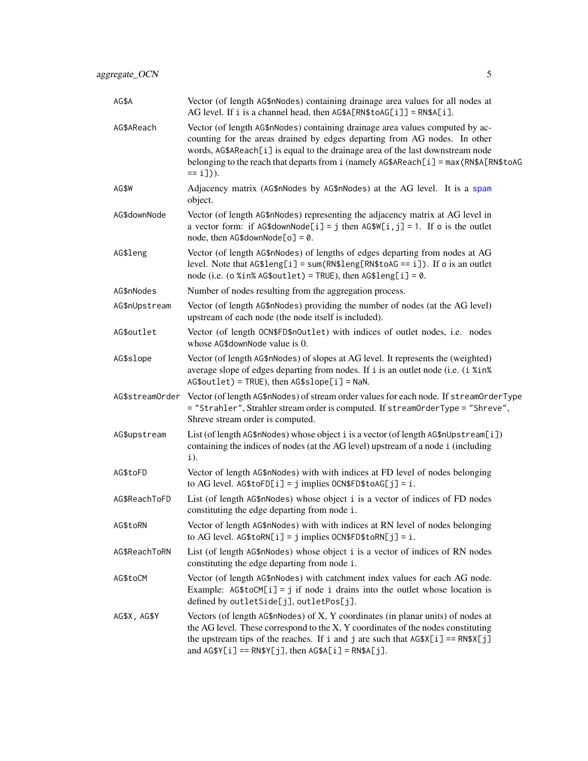| AG\$A           | Vector (of length AG\$nNodes) containing drainage area values for all nodes at<br>AG level. If i is a channel head, then AG\$A[RN\$toAG[i]] = RN\$A[i].                                                                                                                                                                                                     |
|-----------------|-------------------------------------------------------------------------------------------------------------------------------------------------------------------------------------------------------------------------------------------------------------------------------------------------------------------------------------------------------------|
| AG\$AReach      | Vector (of length AG\$nNodes) containing drainage area values computed by ac-<br>counting for the areas drained by edges departing from AG nodes. In other<br>words, AG\$AReach[i] is equal to the drainage area of the last downstream node<br>belonging to the reach that departs from $i$ (namely AG\$AReach[ $i$ ] = max (RN\$A[RN\$toAG<br>$== i$ ])). |
| AG\$W           | Adjacency matrix (AG\$nNodes by AG\$nNodes) at the AG level. It is a spam<br>object.                                                                                                                                                                                                                                                                        |
| AG\$downNode    | Vector (of length AG\$nNodes) representing the adjacency matrix at AG level in<br>a vector form: if AG\$downNode[i] = j then $AGSW[i, j] = 1$ . If o is the outlet<br>node, then AG\$downNode[o] = $0$ .                                                                                                                                                    |
| AG\$leng        | Vector (of length AG\$nNodes) of lengths of edges departing from nodes at AG<br>level. Note that $AG$length] = sum(RN$length5A6 == i].$ If o is an outlet<br>node (i.e. (o %in% AG\$outlet) = TRUE), then $AG$length] = 0$ .                                                                                                                                |
| AG\$nNodes      | Number of nodes resulting from the aggregation process.                                                                                                                                                                                                                                                                                                     |
| AG\$nUpstream   | Vector (of length AG\$nNodes) providing the number of nodes (at the AG level)<br>upstream of each node (the node itself is included).                                                                                                                                                                                                                       |
| AG\$outlet      | Vector (of length OCN\$FD\$nOutlet) with indices of outlet nodes, i.e. nodes<br>whose AG\$downNode value is 0.                                                                                                                                                                                                                                              |
| AG\$slope       | Vector (of length AG\$nNodes) of slopes at AG level. It represents the (weighted)<br>average slope of edges departing from nodes. If i is an outlet node (i.e. (i %in%)<br>$AG$outlet$ ) = TRUE), then $AG$slope[i] = NaN$ .                                                                                                                                |
| AG\$streamOrder | Vector (of length AG\$nNodes) of stream order values for each node. If streamOrderType<br>= "Strahler", Strahler stream order is computed. If streamOrderType = "Shreve",<br>Shreve stream order is computed.                                                                                                                                               |
| AG\$upstream    | List (of length AG\$nNodes) whose object i is a vector (of length AG\$nUpstream[i])<br>containing the indices of nodes (at the AG level) upstream of a node i (including<br>$i$ ).                                                                                                                                                                          |
| AG\$toFD        | Vector of length AG\$nNodes) with with indices at FD level of nodes belonging<br>to AG level. $AG$toFD[i] = j$ implies $OCN$FD$toAG[j] = i$ .                                                                                                                                                                                                               |
| AG\$ReachToFD   | List (of length AG\$nNodes) whose object i is a vector of indices of FD nodes<br>constituting the edge departing from node i.                                                                                                                                                                                                                               |
| AG\$toRN        | Vector of length AG\$nNodes) with with indices at RN level of nodes belonging<br>to AG level. $AG$toRN[i] = j$ implies $OCN$FD$toRN[j] = i$ .                                                                                                                                                                                                               |
| AG\$ReachToRN   | List (of length AG\$nNodes) whose object i is a vector of indices of RN nodes<br>constituting the edge departing from node i.                                                                                                                                                                                                                               |
| AG\$toCM        | Vector (of length AG\$nNodes) with catchment index values for each AG node.<br>Example: $AG$toCM[i] = j$ if node i drains into the outlet whose location is<br>defined by outletSide[j], outletPos[j].                                                                                                                                                      |
| AG\$X, AG\$Y    | Vectors (of length AG\$nNodes) of X, Y coordinates (in planar units) of nodes at<br>the AG level. These correspond to the X, Y coordinates of the nodes constituting<br>the upstream tips of the reaches. If i and j are such that $AG$X[i] == RN$X[j]$<br>and $AGSY[i] == RNSY[j],$ then $AGSA[i] = RNSA[j].$                                              |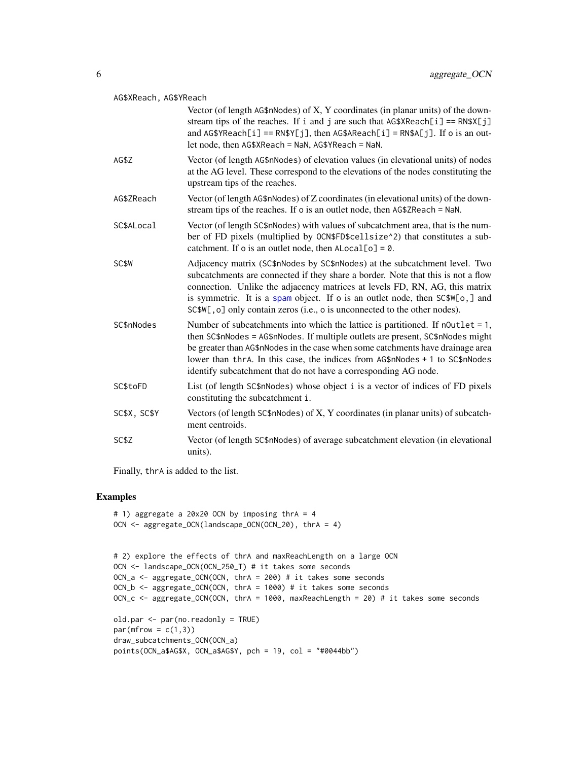#### <span id="page-5-0"></span>AG\$XReach, AG\$YReach

|              | Vector (of length $AG$nNodes$ ) of X, Y coordinates (in planar units) of the down-<br>stream tips of the reaches. If i and j are such that $AG$XReach[i] == RN$X[j]$<br>and $AG\$ YReach[i] == RN\$Y[j], then $AG\$ AReach[i] = RN\$A[j]. If o is an out-<br>let node, then AG\$XReach = NaN, AG\$YReach = NaN.                                                                                              |
|--------------|--------------------------------------------------------------------------------------------------------------------------------------------------------------------------------------------------------------------------------------------------------------------------------------------------------------------------------------------------------------------------------------------------------------|
| AG\$Z        | Vector (of length AG\$nNodes) of elevation values (in elevational units) of nodes<br>at the AG level. These correspond to the elevations of the nodes constituting the<br>upstream tips of the reaches.                                                                                                                                                                                                      |
| AG\$ZReach   | Vector (of length AG\$nNodes) of Z coordinates (in elevational units) of the down-<br>stream tips of the reaches. If o is an outlet node, then AG\$ZReach = NaN.                                                                                                                                                                                                                                             |
| SC\$ALocal   | Vector (of length SC\$nNodes) with values of subcatchment area, that is the num-<br>ber of FD pixels (multiplied by OCN\$FD\$cellsize^2) that constitutes a sub-<br>catchment. If o is an outlet node, then $\text{Alocal}[o] = \emptyset$ .                                                                                                                                                                 |
| <b>SCSW</b>  | Adjacency matrix (SC\$nNodes by SC\$nNodes) at the subcatchment level. Two<br>subcatchments are connected if they share a border. Note that this is not a flow<br>connection. Unlike the adjacency matrices at levels FD, RN, AG, this matrix<br>is symmetric. It is a spam object. If o is an outlet node, then SC\$W[o,] and<br>SC\$W[, o] only contain zeros (i.e., o is unconnected to the other nodes). |
| SC\$nNodes   | Number of subcatchments into which the lattice is partitioned. If notelet $= 1$ ,<br>then SC\$nNodes = AG\$nNodes. If multiple outlets are present, SC\$nNodes might<br>be greater than AG\$nNodes in the case when some catchments have drainage area<br>lower than thrA. In this case, the indices from AG\$nNodes + 1 to SC\$nNodes<br>identify subcatchment that do not have a corresponding AG node.    |
| SC\$toFD     | List (of length SC\$nNodes) whose object i is a vector of indices of FD pixels<br>constituting the subcatchment i.                                                                                                                                                                                                                                                                                           |
| SC\$X, SC\$Y | Vectors (of length SC\$nNodes) of X, Y coordinates (in planar units) of subcatch-<br>ment centroids.                                                                                                                                                                                                                                                                                                         |
| SC\$Z        | Vector (of length SC\$nNodes) of average subcatchment elevation (in elevational<br>units).                                                                                                                                                                                                                                                                                                                   |

Finally, thrA is added to the list.

# Examples

```
# 1) aggregate a 20x20 OCN by imposing thrA = 4
OCN <- aggregate_OCN(landscape_OCN(OCN_20), thrA = 4)
# 2) explore the effects of thrA and maxReachLength on a large OCN
```

```
OCN <- landscape_OCN(OCN_250_T) # it takes some seconds
OCN_a <- aggregate_OCN(OCN, thrA = 200) # it takes some seconds
OCN_b <- aggregate_OCN(OCN, thrA = 1000) # it takes some seconds
OCN_c <- aggregate_OCN(OCN, thrA = 1000, maxReachLength = 20) # it takes some seconds
old.par <- par(no.readonly = TRUE)
par(mfrow = c(1,3))
```

```
draw_subcatchments_OCN(OCN_a)
points(OCN_a$AG$X, OCN_a$AG$Y, pch = 19, col = "#0044bb")
```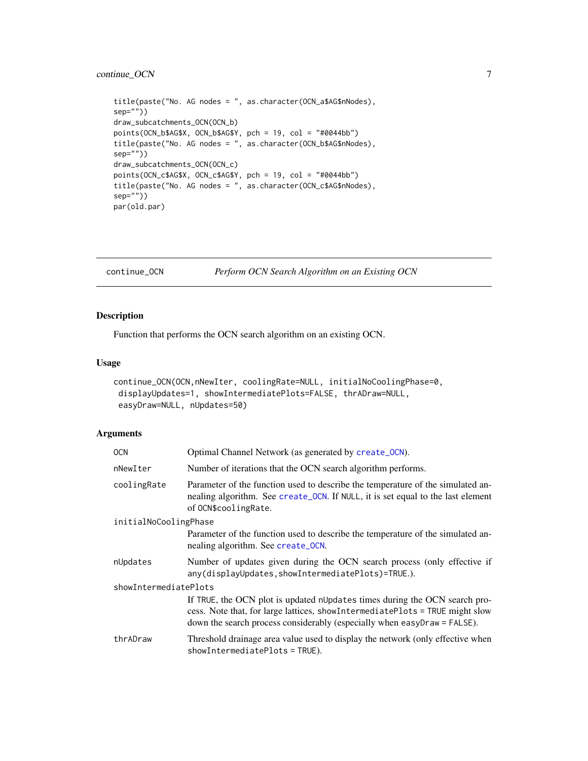# <span id="page-6-0"></span>continue\_OCN 7

```
title(paste("No. AG nodes = ", as.character(OCN_a$AG$nNodes),
sep=""))
draw_subcatchments_OCN(OCN_b)
points(OCN_b$AG$X, OCN_b$AG$Y, pch = 19, col = "#0044bb")
title(paste("No. AG nodes = ", as.character(OCN_b$AG$nNodes),
sep=""))
draw_subcatchments_OCN(OCN_c)
points(OCN_c$AG$X, OCN_c$AG$Y, pch = 19, col = "#0044bb")
title(paste("No. AG nodes = ", as.character(OCN_c$AG$nNodes),
sep=""))
par(old.par)
```
<span id="page-6-1"></span>continue\_OCN *Perform OCN Search Algorithm on an Existing OCN*

# Description

Function that performs the OCN search algorithm on an existing OCN.

#### Usage

```
continue_OCN(OCN,nNewIter, coolingRate=NULL, initialNoCoolingPhase=0,
displayUpdates=1, showIntermediatePlots=FALSE, thrADraw=NULL,
easyDraw=NULL, nUpdates=50)
```
### Arguments

| OCN.                  | Optimal Channel Network (as generated by create_0CN).                                                                                                                                                                                  |  |
|-----------------------|----------------------------------------------------------------------------------------------------------------------------------------------------------------------------------------------------------------------------------------|--|
| nNewIter              | Number of iterations that the OCN search algorithm performs.                                                                                                                                                                           |  |
| coolingRate           | Parameter of the function used to describe the temperature of the simulated an-<br>nealing algorithm. See create_OCN. If NULL, it is set equal to the last element<br>of OCN\$coolingRate.                                             |  |
| initialNoCoolingPhase |                                                                                                                                                                                                                                        |  |
|                       | Parameter of the function used to describe the temperature of the simulated an-<br>nealing algorithm. See create_OCN.                                                                                                                  |  |
| nUpdates              | Number of updates given during the OCN search process (only effective if<br>any(displayUpdates,showIntermediatePlots)=TRUE.).                                                                                                          |  |
| showIntermediatePlots |                                                                                                                                                                                                                                        |  |
|                       | If TRUE, the OCN plot is updated nUpdates times during the OCN search pro-<br>cess. Note that, for large lattices, showIntermediatePlots = TRUE might slow<br>down the search process considerably (especially when easyDraw = FALSE). |  |
| thrADraw              | Threshold drainage area value used to display the network (only effective when<br>$showIntermediatePlots = TRUE$ ).                                                                                                                    |  |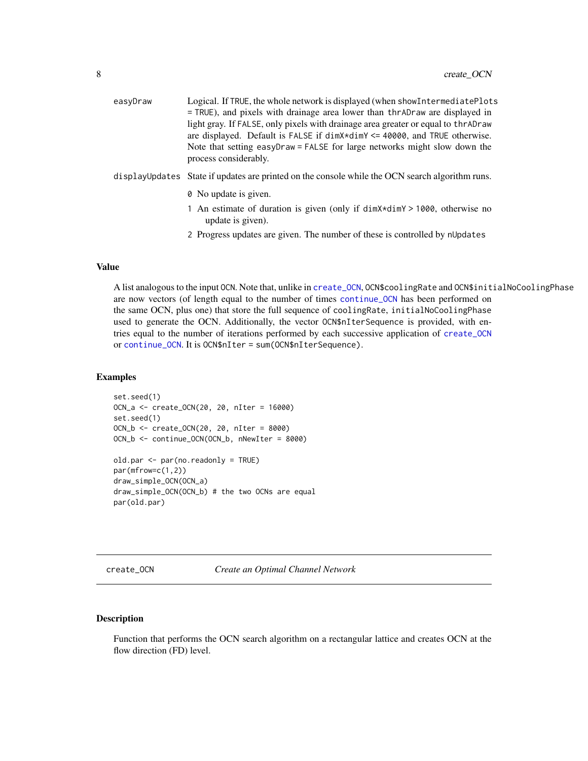<span id="page-7-0"></span>

| easyDraw | Logical. If TRUE, the whole network is displayed (when show Intermediate Plots<br>$=$ TRUE), and pixels with drainage area lower than thr AD raw are displayed in<br>light gray. If FALSE, only pixels with drainage area greater or equal to thrADraw<br>are displayed. Default is FALSE if $\dim x + \dim y \leq 40000$ , and TRUE otherwise.<br>Note that setting easyDraw = FALSE for large networks might slow down the<br>process considerably. |
|----------|-------------------------------------------------------------------------------------------------------------------------------------------------------------------------------------------------------------------------------------------------------------------------------------------------------------------------------------------------------------------------------------------------------------------------------------------------------|
|          | display Updates State if updates are printed on the console while the OCN search algorithm runs.                                                                                                                                                                                                                                                                                                                                                      |
|          | 0 No update is given.                                                                                                                                                                                                                                                                                                                                                                                                                                 |
|          | 1 An estimate of duration is given (only if dim X*dim Y > 1000, otherwise no<br>update is given).                                                                                                                                                                                                                                                                                                                                                     |
|          | 2 Progress updates are given. The number of these is controlled by nUpdates                                                                                                                                                                                                                                                                                                                                                                           |

# Value

A list analogous to the input OCN. Note that, unlike in [create\\_OCN](#page-7-1), OCN\$coolingRate and OCN\$initialNoCoolingPhase are now vectors (of length equal to the number of times [continue\\_OCN](#page-6-1) has been performed on the same OCN, plus one) that store the full sequence of coolingRate, initialNoCoolingPhase used to generate the OCN. Additionally, the vector OCN\$nIterSequence is provided, with entries equal to the number of iterations performed by each successive application of [create\\_OCN](#page-7-1) or [continue\\_OCN](#page-6-1). It is OCN\$nIter = sum(OCN\$nIterSequence).

#### Examples

```
set.seed(1)
OCN_a <- create_OCN(20, 20, nIter = 16000)
set.seed(1)
OCN_b <- create_OCN(20, 20, nIter = 8000)
OCN_b <- continue_OCN(OCN_b, nNewIter = 8000)
old.par <- par(no.readonly = TRUE)
par(mfrow=c(1,2))
draw_simple_OCN(OCN_a)
draw_simple_OCN(OCN_b) # the two OCNs are equal
par(old.par)
```
<span id="page-7-1"></span>create\_OCN *Create an Optimal Channel Network*

# Description

Function that performs the OCN search algorithm on a rectangular lattice and creates OCN at the flow direction (FD) level.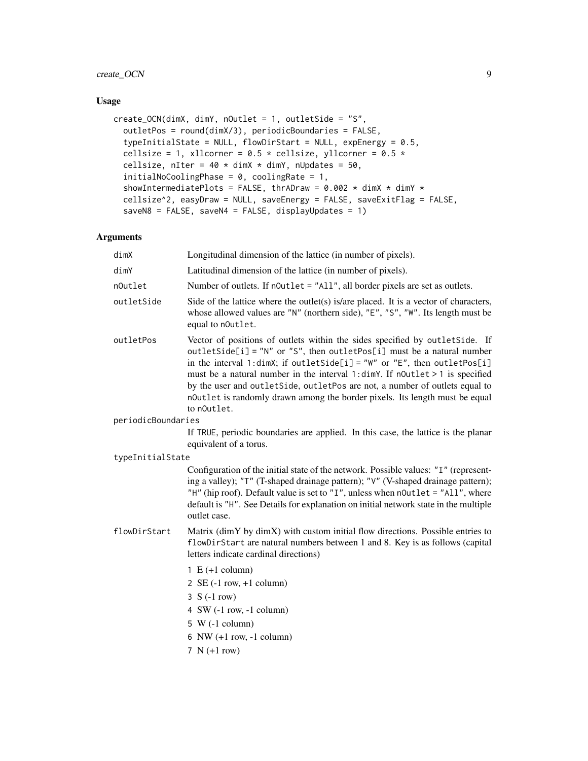# create\_OCN 9

# Usage

```
create_OCN(dimX, dimY, nOutlet = 1, outletSide = "S",
 outletPos = round(dimX/3), periodicBoundaries = FALSE,
  typeInitialState = NULL, flowDirStart = NULL, expEnergy = 0.5,
  cellsize = 1, xllcorner = 0.5 * cellsize, yllcorner = 0.5 *cellsize, nIter = 40 \times \text{dim}X \times \text{dim}Y, nUpdates = 50,
  initialNoCoolingPhase = 0, coolingRate = 1,
  showIntermediatePlots = FALSE, thrADraw = 0.002 \times \text{dim}X \times \text{dim}Y \timescellsize^2, easyDraw = NULL, saveEnergy = FALSE, saveExitFlag = FALSE,
  saveN8 = FALSE, saveN4 = FALSE, displayUpdates = 1)
```
# Arguments

| dim X              | Longitudinal dimension of the lattice (in number of pixels).                                                                                                                                                                                                                                                                                                                                                                                                                                   |
|--------------------|------------------------------------------------------------------------------------------------------------------------------------------------------------------------------------------------------------------------------------------------------------------------------------------------------------------------------------------------------------------------------------------------------------------------------------------------------------------------------------------------|
| dimY               | Latitudinal dimension of the lattice (in number of pixels).                                                                                                                                                                                                                                                                                                                                                                                                                                    |
| n0utlet            | Number of outlets. If noutlet = "All", all border pixels are set as outlets.                                                                                                                                                                                                                                                                                                                                                                                                                   |
| outletSide         | Side of the lattice where the outlet(s) is/are placed. It is a vector of characters,<br>whose allowed values are "N" (northern side), "E", "S", "W". Its length must be<br>equal to nOutlet.                                                                                                                                                                                                                                                                                                   |
| outletPos          | Vector of positions of outlets within the sides specified by outletSide. If<br>outletSide[i] = "N" or "S", then outletPos[i] must be a natural number<br>in the interval 1:dimX; if outletSide[i] = "W" or "E", then outletPos[i]<br>must be a natural number in the interval 1:dimY. If n0utlet > 1 is specified<br>by the user and outletSide, outletPos are not, a number of outlets equal to<br>noutlet is randomly drawn among the border pixels. Its length must be equal<br>to noutlet. |
| periodicBoundaries |                                                                                                                                                                                                                                                                                                                                                                                                                                                                                                |
|                    | If TRUE, periodic boundaries are applied. In this case, the lattice is the planar<br>equivalent of a torus.                                                                                                                                                                                                                                                                                                                                                                                    |
| typeInitialState   |                                                                                                                                                                                                                                                                                                                                                                                                                                                                                                |
|                    | Configuration of the initial state of the network. Possible values: "I" (represent-<br>ing a valley); "T" (T-shaped drainage pattern); "V" (V-shaped drainage pattern);<br>"H" (hip roof). Default value is set to "I", unless when n0utlet = "All", where<br>default is "H". See Details for explanation on initial network state in the multiple<br>outlet case.                                                                                                                             |
| flowDirStart       | Matrix (dimY by dimX) with custom initial flow directions. Possible entries to<br>flowDirStart are natural numbers between 1 and 8. Key is as follows (capital<br>letters indicate cardinal directions)                                                                                                                                                                                                                                                                                        |
|                    | $1 E (+1 column)$                                                                                                                                                                                                                                                                                                                                                                                                                                                                              |
|                    | $2 \text{ SE} (-1 \text{ row}, +1 \text{ column})$                                                                                                                                                                                                                                                                                                                                                                                                                                             |
|                    | $3 S (-1 row)$                                                                                                                                                                                                                                                                                                                                                                                                                                                                                 |
|                    | 4 SW $(-1$ row, $-1$ column)                                                                                                                                                                                                                                                                                                                                                                                                                                                                   |
|                    | $5 W (-1 column)$                                                                                                                                                                                                                                                                                                                                                                                                                                                                              |
|                    | 6 NW $(+1$ row, $-1$ column)                                                                                                                                                                                                                                                                                                                                                                                                                                                                   |
|                    | 7 $N (+1 row)$                                                                                                                                                                                                                                                                                                                                                                                                                                                                                 |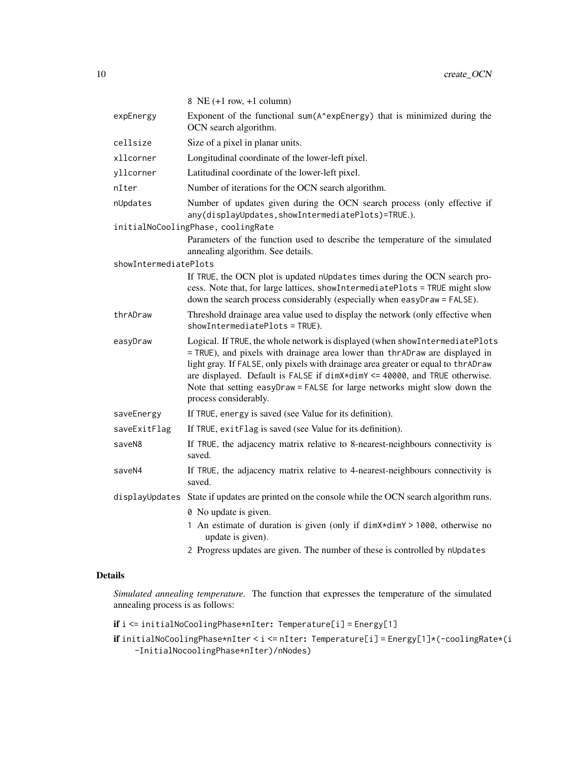|                       | 8 NE $(+1$ row, $+1$ column)                                                                                                                                                                                                                                                                                                                                                                                                         |
|-----------------------|--------------------------------------------------------------------------------------------------------------------------------------------------------------------------------------------------------------------------------------------------------------------------------------------------------------------------------------------------------------------------------------------------------------------------------------|
| expEnergy             | Exponent of the functional sum(A^expEnergy) that is minimized during the<br>OCN search algorithm.                                                                                                                                                                                                                                                                                                                                    |
| cellsize              | Size of a pixel in planar units.                                                                                                                                                                                                                                                                                                                                                                                                     |
| xllcorner             | Longitudinal coordinate of the lower-left pixel.                                                                                                                                                                                                                                                                                                                                                                                     |
| yllcorner             | Latitudinal coordinate of the lower-left pixel.                                                                                                                                                                                                                                                                                                                                                                                      |
| nIter                 | Number of iterations for the OCN search algorithm.                                                                                                                                                                                                                                                                                                                                                                                   |
| nUpdates              | Number of updates given during the OCN search process (only effective if<br>any(displayUpdates,showIntermediatePlots)=TRUE.).                                                                                                                                                                                                                                                                                                        |
|                       | initialNoCoolingPhase, coolingRate                                                                                                                                                                                                                                                                                                                                                                                                   |
|                       | Parameters of the function used to describe the temperature of the simulated<br>annealing algorithm. See details.                                                                                                                                                                                                                                                                                                                    |
| showIntermediatePlots |                                                                                                                                                                                                                                                                                                                                                                                                                                      |
|                       | If TRUE, the OCN plot is updated nUpdates times during the OCN search pro-<br>cess. Note that, for large lattices, showIntermediatePlots = TRUE might slow<br>down the search process considerably (especially when easyDraw = FALSE).                                                                                                                                                                                               |
| thrADraw              | Threshold drainage area value used to display the network (only effective when<br>showIntermediatePlots = TRUE).                                                                                                                                                                                                                                                                                                                     |
| easyDraw              | Logical. If TRUE, the whole network is displayed (when showIntermediatePlots<br>= TRUE), and pixels with drainage area lower than thrADraw are displayed in<br>light gray. If FALSE, only pixels with drainage area greater or equal to thrADraw<br>are displayed. Default is FALSE if dimX*dimY <= 40000, and TRUE otherwise.<br>Note that setting easyDraw = FALSE for large networks might slow down the<br>process considerably. |
| saveEnergy            | If TRUE, energy is saved (see Value for its definition).                                                                                                                                                                                                                                                                                                                                                                             |
| saveExitFlag          | If TRUE, exitElag is saved (see Value for its definition).                                                                                                                                                                                                                                                                                                                                                                           |
| saveN8                | If TRUE, the adjacency matrix relative to 8-nearest-neighbours connectivity is<br>saved.                                                                                                                                                                                                                                                                                                                                             |
| saveN4                | If TRUE, the adjacency matrix relative to 4-nearest-neighbours connectivity is<br>saved.                                                                                                                                                                                                                                                                                                                                             |
| displayUpdates        | State if updates are printed on the console while the OCN search algorithm runs.                                                                                                                                                                                                                                                                                                                                                     |
|                       | 0 No update is given.                                                                                                                                                                                                                                                                                                                                                                                                                |
|                       | 1 An estimate of duration is given (only if dimX*dimY > 1000, otherwise no<br>update is given).                                                                                                                                                                                                                                                                                                                                      |
|                       |                                                                                                                                                                                                                                                                                                                                                                                                                                      |

2 Progress updates are given. The number of these is controlled by nUpdates

# Details

*Simulated annealing temperature.* The function that expresses the temperature of the simulated annealing process is as follows:

if i <= initialNoCoolingPhase\*nIter: Temperature[i] = Energy[1]

if initialNoCoolingPhase\*nIter < i <= nIter: Temperature[i] = Energy[1]\*(-coolingRate\*(i -InitialNocoolingPhase\*nIter)/nNodes)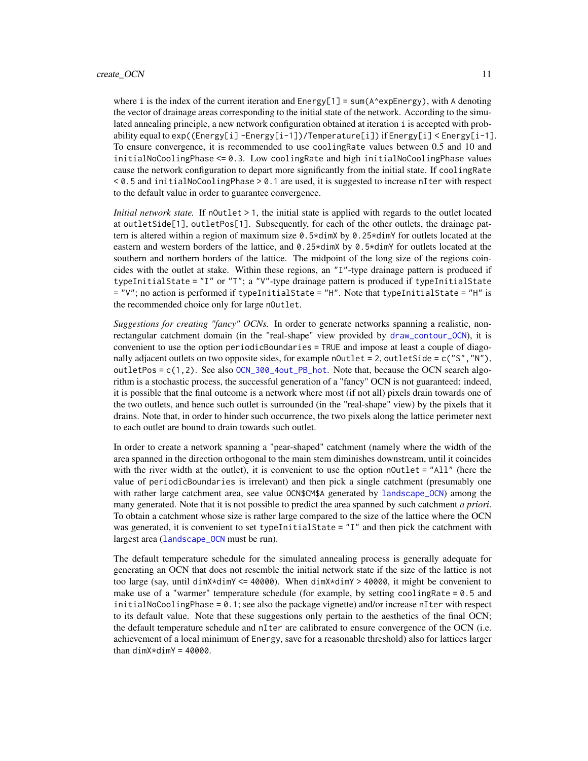#### <span id="page-10-0"></span>create\_OCN 11

where i is the index of the current iteration and  $Energy[1] = sum(A*expEnergy)$ , with A denoting the vector of drainage areas corresponding to the initial state of the network. According to the simulated annealing principle, a new network configuration obtained at iteration i is accepted with probability equal to exp((Energy[i] -Energy[i-1])/Temperature[i]) if Energy[i] < Energy[i-1]. To ensure convergence, it is recommended to use coolingRate values between 0.5 and 10 and initialNoCoolingPhase <= 0.3. Low coolingRate and high initialNoCoolingPhase values cause the network configuration to depart more significantly from the initial state. If coolingRate  $< 0.5$  and initialNoCoolingPhase  $> 0.1$  are used, it is suggested to increase nIter with respect

*Initial network state.* If noutlet  $> 1$ , the initial state is applied with regards to the outlet located at outletSide[1], outletPos[1]. Subsequently, for each of the other outlets, the drainage pattern is altered within a region of maximum size 0.5\*dimX by 0.25\*dimY for outlets located at the eastern and western borders of the lattice, and 0.25\*dimX by 0.5\*dimY for outlets located at the southern and northern borders of the lattice. The midpoint of the long size of the regions coincides with the outlet at stake. Within these regions, an "I"-type drainage pattern is produced if typeInitialState =  $T''$  or  $T''$ ; a  $T''$ -type drainage pattern is produced if typeInitialState = "V"; no action is performed if typeInitialState = "H". Note that typeInitialState = "H" is the recommended choice only for large nOutlet.

to the default value in order to guarantee convergence.

*Suggestions for creating "fancy" OCNs.* In order to generate networks spanning a realistic, nonrectangular catchment domain (in the "real-shape" view provided by [draw\\_contour\\_OCN](#page-13-1)), it is convenient to use the option periodicBoundaries = TRUE and impose at least a couple of diagonally adjacent outlets on two opposite sides, for example  $nOutputlet = 2$ , outletSide =  $c("S", "N")$ , outletPos =  $c(1,2)$ . See also  $OCN_300_4$ out\_PB\_hot. Note that, because the OCN search algorithm is a stochastic process, the successful generation of a "fancy" OCN is not guaranteed: indeed, it is possible that the final outcome is a network where most (if not all) pixels drain towards one of the two outlets, and hence such outlet is surrounded (in the "real-shape" view) by the pixels that it drains. Note that, in order to hinder such occurrence, the two pixels along the lattice perimeter next to each outlet are bound to drain towards such outlet.

In order to create a network spanning a "pear-shaped" catchment (namely where the width of the area spanned in the direction orthogonal to the main stem diminishes downstream, until it coincides with the river width at the outlet), it is convenient to use the option n0utlet = "All" (here the value of periodicBoundaries is irrelevant) and then pick a single catchment (presumably one with rather large catchment area, see value OCN\$CM\$A generated by [landscape\\_OCN](#page-25-1)) among the many generated. Note that it is not possible to predict the area spanned by such catchment *a priori*. To obtain a catchment whose size is rather large compared to the size of the lattice where the OCN was generated, it is convenient to set typeInitialState =  $"I"$  and then pick the catchment with largest area ([landscape\\_OCN](#page-25-1) must be run).

The default temperature schedule for the simulated annealing process is generally adequate for generating an OCN that does not resemble the initial network state if the size of the lattice is not too large (say, until dimX\*dimY <= 40000). When dimX\*dimY > 40000, it might be convenient to make use of a "warmer" temperature schedule (for example, by setting coolingRate = 0.5 and initialNoCoolingPhase = 0.1; see also the package vignette) and/or increase nIter with respect to its default value. Note that these suggestions only pertain to the aesthetics of the final OCN; the default temperature schedule and nIter are calibrated to ensure convergence of the OCN (i.e. achievement of a local minimum of Energy, save for a reasonable threshold) also for lattices larger than  $dimX*dimY = 40000$ .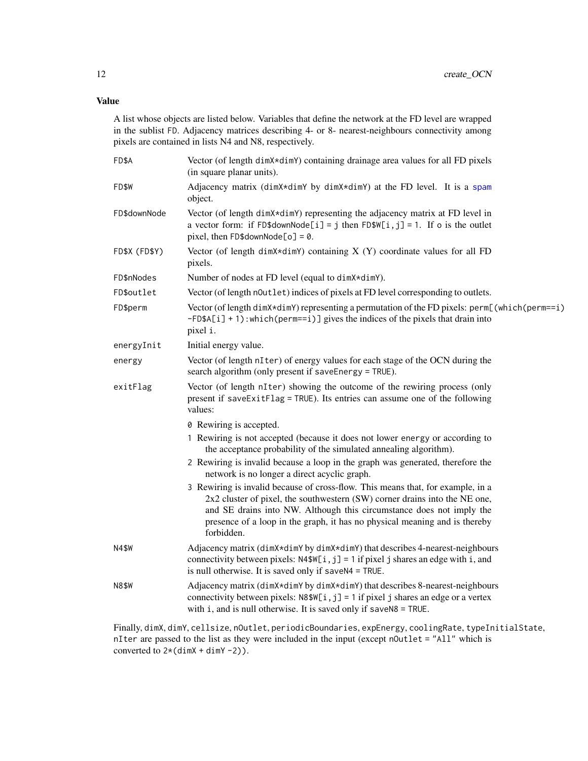# <span id="page-11-0"></span>Value

A list whose objects are listed below. Variables that define the network at the FD level are wrapped in the sublist FD. Adjacency matrices describing 4- or 8- nearest-neighbours connectivity among pixels are contained in lists N4 and N8, respectively.

| FD\$A         | Vector (of length dimX*dimY) containing drainage area values for all FD pixels<br>(in square planar units).                                                                                                                                                                                                                         |
|---------------|-------------------------------------------------------------------------------------------------------------------------------------------------------------------------------------------------------------------------------------------------------------------------------------------------------------------------------------|
| FD\$W         | Adjacency matrix (dimX*dimY by dimX*dimY) at the FD level. It is a spam<br>object.                                                                                                                                                                                                                                                  |
| FD\$downNode  | Vector (of length dimX*dimY) representing the adjacency matrix at FD level in<br>a vector form: if FD\$downNode[i] = j then FD\$W[i, j] = 1. If o is the outlet<br>pixel, then $FD\$ sdownNode $[o] = \emptyset$ .                                                                                                                  |
| FD\$X (FD\$Y) | Vector (of length dim $X \star$ dim $Y$ ) containing $X(Y)$ coordinate values for all FD<br>pixels.                                                                                                                                                                                                                                 |
| FD\$nNodes    | Number of nodes at FD level (equal to dimX*dimY).                                                                                                                                                                                                                                                                                   |
| FD\$outlet    | Vector (of length n0utlet) indices of pixels at FD level corresponding to outlets.                                                                                                                                                                                                                                                  |
| FD\$perm      | Vector (of length dimX*dimY) representing a permutation of the FD pixels: perm[(which(perm==i)<br>$-FD$A[i] + 1)$ : which(perm==i)] gives the indices of the pixels that drain into<br>pixel i.                                                                                                                                     |
| energyInit    | Initial energy value.                                                                                                                                                                                                                                                                                                               |
| energy        | Vector (of length nIter) of energy values for each stage of the OCN during the<br>search algorithm (only present if saveEnergy = TRUE).                                                                                                                                                                                             |
| exitFlag      | Vector (of length nIter) showing the outcome of the rewiring process (only<br>present if saveExitFlag = TRUE). Its entries can assume one of the following<br>values:                                                                                                                                                               |
|               | 0 Rewiring is accepted.                                                                                                                                                                                                                                                                                                             |
|               | 1 Rewiring is not accepted (because it does not lower energy or according to<br>the acceptance probability of the simulated annealing algorithm).                                                                                                                                                                                   |
|               | 2 Rewiring is invalid because a loop in the graph was generated, therefore the<br>network is no longer a direct acyclic graph.                                                                                                                                                                                                      |
|               | 3 Rewiring is invalid because of cross-flow. This means that, for example, in a<br>$2x2$ cluster of pixel, the southwestern (SW) corner drains into the NE one,<br>and SE drains into NW. Although this circumstance does not imply the<br>presence of a loop in the graph, it has no physical meaning and is thereby<br>forbidden. |
| N4\$W         | Adjacency matrix (dimX*dimY by dimX*dimY) that describes 4-nearest-neighbours<br>connectivity between pixels: $N4\$ W[i, j] = 1 if pixel j shares an edge with i, and<br>is null otherwise. It is saved only if saveN4 = TRUE.                                                                                                      |
| <b>N8\$W</b>  | Adjacency matrix (dimX*dimY by dimX*dimY) that describes 8-nearest-neighbours<br>connectivity between pixels: $N8\$ W[i, j] = 1 if pixel j shares an edge or a vertex<br>with $i$ , and is null otherwise. It is saved only if save $N8 = TRUE$ .                                                                                   |
|               |                                                                                                                                                                                                                                                                                                                                     |

Finally, dimX, dimY, cellsize, nOutlet, periodicBoundaries, expEnergy, coolingRate, typeInitialState, nIter are passed to the list as they were included in the input (except nOutlet = "All" which is converted to  $2*(\text{dim}X + \text{dim}Y - 2)$ .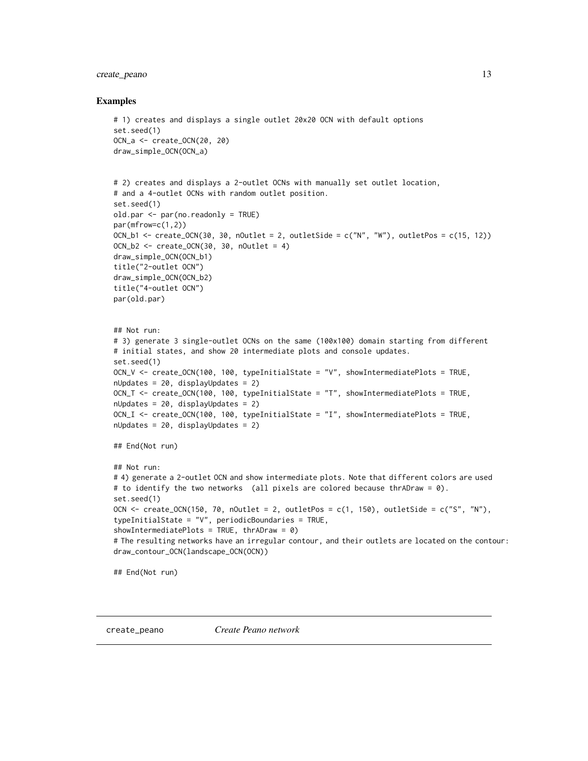# <span id="page-12-0"></span>create\_peano 13

#### Examples

```
# 1) creates and displays a single outlet 20x20 OCN with default options
set.seed(1)
OCN_a <- create_OCN(20, 20)
draw_simple_OCN(OCN_a)
# 2) creates and displays a 2-outlet OCNs with manually set outlet location,
# and a 4-outlet OCNs with random outlet position.
set.seed(1)
old.par <- par(no.readonly = TRUE)
par(mfrow=c(1,2))
OCN_b1 <- create_OCN(30, 30, nOutlet = 2, outletSide = c("N", "W"), outletPos = c(15, 12))
OCN_b2 \leq create_OCN(30, 30, nOutlet = 4)
draw_simple_OCN(OCN_b1)
title("2-outlet OCN")
draw_simple_OCN(OCN_b2)
title("4-outlet OCN")
par(old.par)
## Not run:
# 3) generate 3 single-outlet OCNs on the same (100x100) domain starting from different
# initial states, and show 20 intermediate plots and console updates.
set.seed(1)
OCN_V <- create_OCN(100, 100, typeInitialState = "V", showIntermediatePlots = TRUE,
nUpdates = 20, displayUpdates = 2)
OCN_T <- create_OCN(100, 100, typeInitialState = "T", showIntermediatePlots = TRUE,
nUpdates = 20, displayUpdates = 2)
OCN_I <- create_OCN(100, 100, typeInitialState = "I", showIntermediatePlots = TRUE,
nUpdates = 20, displayUpdates = 2)
## End(Not run)
## Not run:
# 4) generate a 2-outlet OCN and show intermediate plots. Note that different colors are used
# to identify the two networks (all pixels are colored because thrADraw = 0).
set.seed(1)
OCN \le create_OCN(150, 70, nOutlet = 2, outletPos = c(1, 150), outletSide = c("S", "N"),
typeInitialState = "V", periodicBoundaries = TRUE,
showIntermediatePlots = TRUE, thrADraw = 0)# The resulting networks have an irregular contour, and their outlets are located on the contour:
draw_contour_OCN(landscape_OCN(OCN))
## End(Not run)
```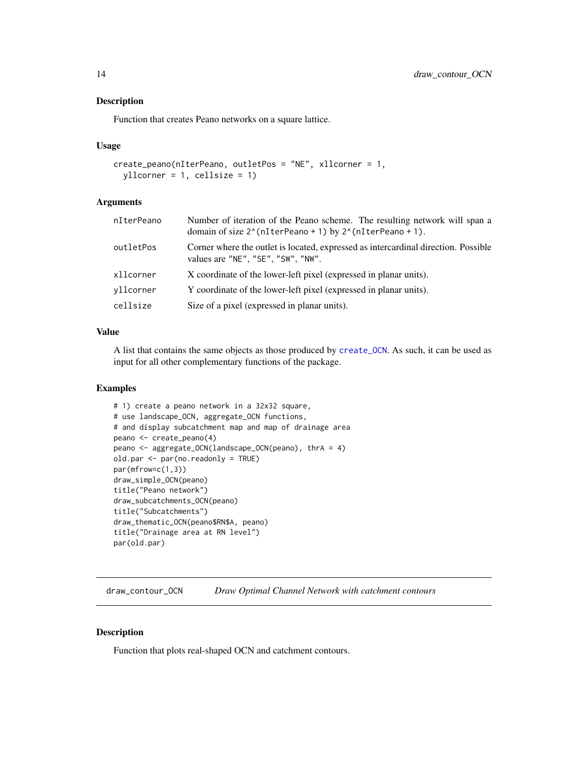#### <span id="page-13-0"></span>Description

Function that creates Peano networks on a square lattice.

#### Usage

```
create_peano(nIterPeano, outletPos = "NE", xllcorner = 1,
 yllcorner = 1, cellsize = 1)
```
# Arguments

| nIterPeano | Number of iteration of the Peano scheme. The resulting network will span a<br>domain of size $2^{\wedge}$ (nIterPeano + 1) by $2^{\wedge}$ (nIterPeano + 1). |
|------------|--------------------------------------------------------------------------------------------------------------------------------------------------------------|
| outletPos  | Corner where the outlet is located, expressed as intercardinal direction. Possible<br>values are "NE", "SE", "SW", "NW".                                     |
| xllcorner  | X coordinate of the lower-left pixel (expressed in planar units).                                                                                            |
| vllcorner  | Y coordinate of the lower-left pixel (expressed in planar units).                                                                                            |
| cellsize   | Size of a pixel (expressed in planar units).                                                                                                                 |
|            |                                                                                                                                                              |

### Value

A list that contains the same objects as those produced by [create\\_OCN](#page-7-1). As such, it can be used as input for all other complementary functions of the package.

#### Examples

```
# 1) create a peano network in a 32x32 square,
# use landscape_OCN, aggregate_OCN functions,
# and display subcatchment map and map of drainage area
peano <- create_peano(4)
peano <- aggregate_OCN(landscape_OCN(peano), thrA = 4)
old.par <- par(no.readonly = TRUE)
par(mfrow=c(1,3))
draw_simple_OCN(peano)
title("Peano network")
draw_subcatchments_OCN(peano)
title("Subcatchments")
draw_thematic_OCN(peano$RN$A, peano)
title("Drainage area at RN level")
par(old.par)
```
<span id="page-13-1"></span>draw\_contour\_OCN *Draw Optimal Channel Network with catchment contours*

#### Description

Function that plots real-shaped OCN and catchment contours.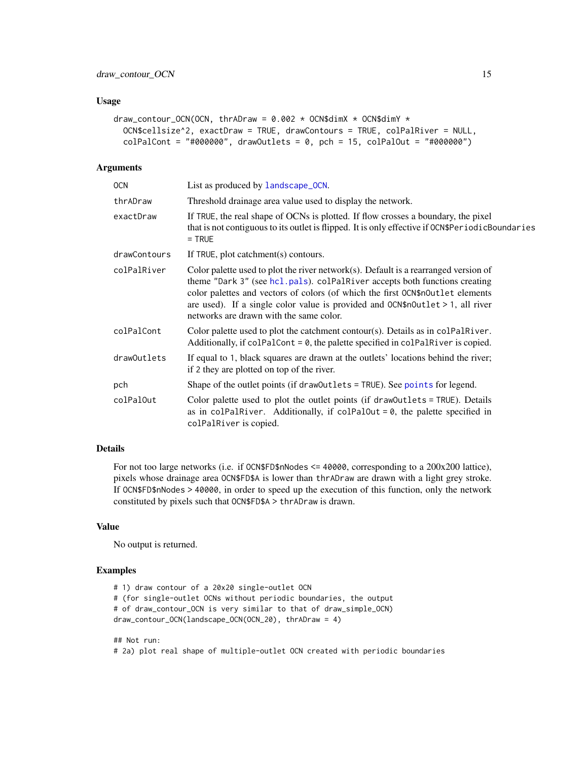#### <span id="page-14-0"></span>Usage

```
draw_contour_OCN(OCN, thrADraw = 0.002 \times OCN$dimX \times OCN$dimY \timesOCN$cellsize^2, exactDraw = TRUE, drawContours = TRUE, colPalRiver = NULL,
  colPalCont = "#000000", drawOutlets = 0, pch = 15, colPalOut = "#000000")
```
#### Arguments

| <b>OCN</b>   | List as produced by landscape_OCN.                                                                                                                                                                                                                                                                                                                                              |
|--------------|---------------------------------------------------------------------------------------------------------------------------------------------------------------------------------------------------------------------------------------------------------------------------------------------------------------------------------------------------------------------------------|
| thrADraw     | Threshold drainage area value used to display the network.                                                                                                                                                                                                                                                                                                                      |
| exactDraw    | If TRUE, the real shape of OCNs is plotted. If flow crosses a boundary, the pixel<br>that is not contiguous to its outlet is flipped. It is only effective if OCN\$PeriodicBoundaries<br>$=$ TRUE                                                                                                                                                                               |
| drawContours | If TRUE, plot catchment(s) contours.                                                                                                                                                                                                                                                                                                                                            |
| colPalRiver  | Color palette used to plot the river network(s). Default is a rearranged version of<br>theme "Dark 3" (see hcl.pals). colPalRiver accepts both functions creating<br>color palettes and vectors of colors (of which the first OCN\$nOutlet elements<br>are used). If a single color value is provided and $OCN$nOutput$ 1, all river<br>networks are drawn with the same color. |
| colPalCont   | Color palette used to plot the catchment contour(s). Details as in colPalRiver.<br>Additionally, if $colPalCont = \emptyset$ , the palette specified in $colPalRiver$ is copied.                                                                                                                                                                                                |
| drawOutlets  | If equal to 1, black squares are drawn at the outlets' locations behind the river;<br>if 2 they are plotted on top of the river.                                                                                                                                                                                                                                                |
| pch          | Shape of the outlet points (if draw0utlets = TRUE). See points for legend.                                                                                                                                                                                                                                                                                                      |
| colPalOut    | Color palette used to plot the outlet points (if drawOutlets = TRUE). Details<br>as in colPalRiver. Additionally, if colPalOut = $\theta$ , the palette specified in<br>colPalRiver is copied.                                                                                                                                                                                  |
|              |                                                                                                                                                                                                                                                                                                                                                                                 |

# Details

For not too large networks (i.e. if OCN\$FD\$nNodes <= 40000, corresponding to a 200x200 lattice), pixels whose drainage area OCN\$FD\$A is lower than thrADraw are drawn with a light grey stroke. If OCN\$FD\$nNodes > 40000, in order to speed up the execution of this function, only the network constituted by pixels such that OCN\$FD\$A > thrADraw is drawn.

### Value

No output is returned.

#### Examples

```
# 1) draw contour of a 20x20 single-outlet OCN
# (for single-outlet OCNs without periodic boundaries, the output
# of draw_contour_OCN is very similar to that of draw_simple_OCN)
draw_contour_OCN(landscape_OCN(OCN_20), thrADraw = 4)
```
#### ## Not run:

```
# 2a) plot real shape of multiple-outlet OCN created with periodic boundaries
```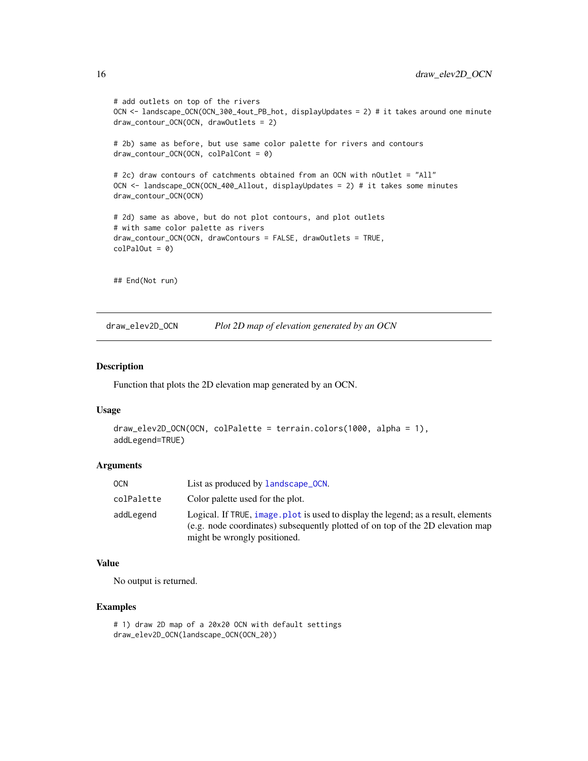```
# add outlets on top of the rivers
OCN <- landscape_OCN(OCN_300_4out_PB_hot, displayUpdates = 2) # it takes around one minute
draw_contour_OCN(OCN, drawOutlets = 2)
# 2b) same as before, but use same color palette for rivers and contours
draw_contour_OCN(OCN, colPalCont = 0)
# 2c) draw contours of catchments obtained from an OCN with nOutlet = "All"
OCN <- landscape_OCN(OCN_400_Allout, displayUpdates = 2) # it takes some minutes
draw_contour_OCN(OCN)
# 2d) same as above, but do not plot contours, and plot outlets
# with same color palette as rivers
draw_contour_OCN(OCN, drawContours = FALSE, drawOutlets = TRUE,
colPalOut = 0)## End(Not run)
```
draw\_elev2D\_OCN *Plot 2D map of elevation generated by an OCN*

#### Description

Function that plots the 2D elevation map generated by an OCN.

#### Usage

```
draw_elev2D_OCN(OCN, colPalette = terrain.colors(1000, alpha = 1),
addLegend=TRUE)
```
#### **Arguments**

| 0CN        | List as produced by landscape_OCN.                                                                                                                                                                  |
|------------|-----------------------------------------------------------------------------------------------------------------------------------------------------------------------------------------------------|
| colPalette | Color palette used for the plot.                                                                                                                                                                    |
| addLegend  | Logical. If TRUE, image plot is used to display the legend; as a result, elements<br>(e.g. node coordinates) subsequently plotted of on top of the 2D elevation map<br>might be wrongly positioned. |

#### Value

No output is returned.

# Examples

```
# 1) draw 2D map of a 20x20 OCN with default settings
draw_elev2D_OCN(landscape_OCN(OCN_20))
```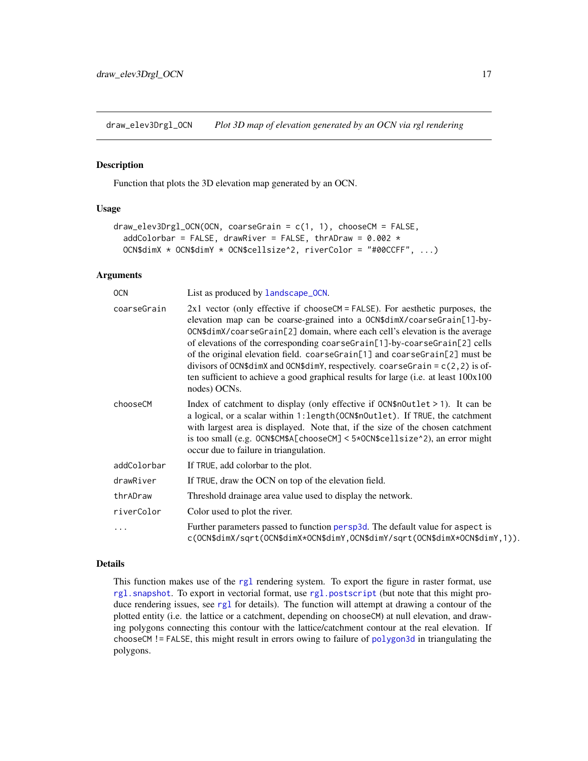<span id="page-16-0"></span>draw\_elev3Drgl\_OCN *Plot 3D map of elevation generated by an OCN via rgl rendering*

#### Description

Function that plots the 3D elevation map generated by an OCN.

# Usage

```
draw_elev3Drgl_OCN(OCN, coarseGrain = c(1, 1), chooseCM = FALSE,
 addColorbar = FALSE, drawRiver = FALSE, thrADraw = 0.002 *
 OCN$dimX * OCN$dimY * OCN$cellsize^2, riverColor = "#00CCFF", ...)
```
# Arguments

| <b>OCN</b>  | List as produced by landscape_OCN.                                                                                                                                                                                                                                                                                                                                                                                                                                                                                                                                                              |
|-------------|-------------------------------------------------------------------------------------------------------------------------------------------------------------------------------------------------------------------------------------------------------------------------------------------------------------------------------------------------------------------------------------------------------------------------------------------------------------------------------------------------------------------------------------------------------------------------------------------------|
| coarseGrain | $2x1$ vector (only effective if chooseCM = FALSE). For aesthetic purposes, the<br>elevation map can be coarse-grained into a OCN\$dimX/coarseGrain[1]-by-<br>OCN\$dimX/coarseGrain[2] domain, where each cell's elevation is the average<br>of elevations of the corresponding coarseGrain[1]-by-coarseGrain[2] cells<br>of the original elevation field. coarseGrain[1] and coarseGrain[2] must be<br>divisors of OCN\$dimX and OCN\$dimY, respectively. coarseGrain = $c(2, 2)$ is of-<br>ten sufficient to achieve a good graphical results for large (i.e. at least 100x100<br>nodes) OCNs. |
| chooseCM    | Index of catchment to display (only effective if $OCN$nOutlet > 1$ ). It can be<br>a logical, or a scalar within 1: length (OCN\$nOutlet). If TRUE, the catchment<br>with largest area is displayed. Note that, if the size of the chosen catchment<br>is too small (e.g. OCN\$CM\$A[chooseCM] < 5*OCN\$cellsize^2), an error might<br>occur due to failure in triangulation.                                                                                                                                                                                                                   |
| addColorbar | If TRUE, add colorbar to the plot.                                                                                                                                                                                                                                                                                                                                                                                                                                                                                                                                                              |
| drawRiver   | If TRUE, draw the OCN on top of the elevation field.                                                                                                                                                                                                                                                                                                                                                                                                                                                                                                                                            |
| thrADraw    | Threshold drainage area value used to display the network.                                                                                                                                                                                                                                                                                                                                                                                                                                                                                                                                      |
| riverColor  | Color used to plot the river.                                                                                                                                                                                                                                                                                                                                                                                                                                                                                                                                                                   |
|             | Further parameters passed to function persp3d. The default value for aspect is<br>c(OCN\$dimX/sqrt(OCN\$dimX*OCN\$dimY,OCN\$dimY/sqrt(OCN\$dimX*OCN\$dimY,1)).                                                                                                                                                                                                                                                                                                                                                                                                                                  |

#### Details

This function makes use of the [rgl](#page-0-0) rendering system. To export the figure in raster format, use [rgl.snapshot](#page-0-0). To export in vectorial format, use [rgl.postscript](#page-0-0) (but note that this might produce rendering issues, see rg1 for details). The function will attempt at drawing a contour of the plotted entity (i.e. the lattice or a catchment, depending on chooseCM) at null elevation, and drawing polygons connecting this contour with the lattice/catchment contour at the real elevation. If chooseCM != FALSE, this might result in errors owing to failure of [polygon3d](#page-0-0) in triangulating the polygons.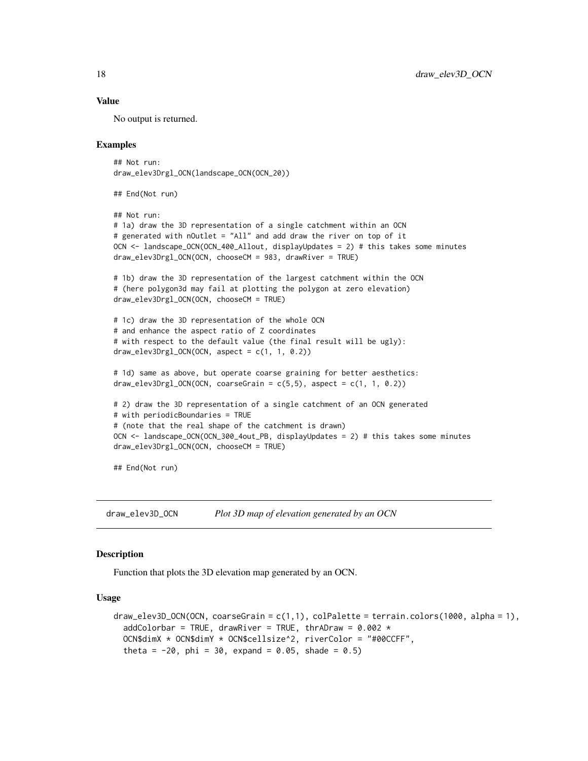#### Value

No output is returned.

#### Examples

```
## Not run:
draw_elev3Drgl_OCN(landscape_OCN(OCN_20))
```
## End(Not run)

```
## Not run:
# 1a) draw the 3D representation of a single catchment within an OCN
# generated with nOutlet = "All" and add draw the river on top of it
OCN <- landscape_OCN(OCN_400_Allout, displayUpdates = 2) # this takes some minutes
draw_elev3Drgl_OCN(OCN, chooseCM = 983, drawRiver = TRUE)
```

```
# 1b) draw the 3D representation of the largest catchment within the OCN
# (here polygon3d may fail at plotting the polygon at zero elevation)
draw_elev3Drgl_OCN(OCN, chooseCM = TRUE)
```

```
# 1c) draw the 3D representation of the whole OCN
# and enhance the aspect ratio of Z coordinates
# with respect to the default value (the final result will be ugly):
draw_elev3Drgl_0CN(0CN, aspect = c(1, 1, 0.2))
```

```
# 1d) same as above, but operate coarse graining for better aesthetics:
draw\_elev3Drgl_0CN(0CN, coarseGrain = c(5,5), aspect = c(1, 1, 0.2))
```

```
# 2) draw the 3D representation of a single catchment of an OCN generated
# with periodicBoundaries = TRUE
# (note that the real shape of the catchment is drawn)
OCN <- landscape_OCN(OCN_300_4out_PB, displayUpdates = 2) # this takes some minutes
draw_elev3Drgl_OCN(OCN, chooseCM = TRUE)
```
## End(Not run)

draw\_elev3D\_OCN *Plot 3D map of elevation generated by an OCN*

# Description

Function that plots the 3D elevation map generated by an OCN.

#### Usage

```
draw_elev3D_0CN(0CN, coarseGrain = c(1,1), colPalette = terrain.colors(1000, alpha = 1),addColorbar = TRUE, drawRiver = TRUE, thrADraw = 0.002 \timesOCN$dimX * OCN$dimY * OCN$cellsize^2, riverColor = "#00CCFF",
  theta = -20, phi = 30, expand = 0.05, shade = 0.5)
```
<span id="page-17-0"></span>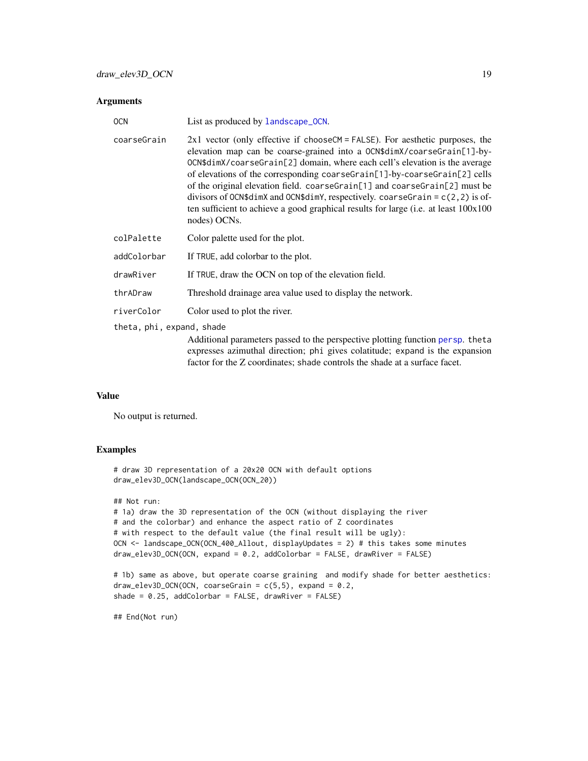#### <span id="page-18-0"></span>Arguments

| <b>OCN</b>                | List as produced by landscape_OCN.                                                                                                                                                                                                                                                                                                                                                                                                                                                                                                                                                                  |
|---------------------------|-----------------------------------------------------------------------------------------------------------------------------------------------------------------------------------------------------------------------------------------------------------------------------------------------------------------------------------------------------------------------------------------------------------------------------------------------------------------------------------------------------------------------------------------------------------------------------------------------------|
| coarseGrain               | $2x1$ vector (only effective if chooseCM = FALSE). For aesthetic purposes, the<br>elevation map can be coarse-grained into a OCN\$dimX/coarseGrain[1]-by-<br>OCN\$dimX/coarseGrain[2] domain, where each cell's elevation is the average<br>of elevations of the corresponding coarseGrain[1]-by-coarseGrain[2] cells<br>of the original elevation field. coarse Grain [1] and coarse Grain [2] must be<br>divisors of OCN\$dimX and OCN\$dimY, respectively. coarseGrain = $c(2, 2)$ is of-<br>ten sufficient to achieve a good graphical results for large (i.e. at least 100x100<br>nodes) OCNs. |
| colPalette                | Color palette used for the plot.                                                                                                                                                                                                                                                                                                                                                                                                                                                                                                                                                                    |
| addColorbar               | If TRUE, add colorbar to the plot.                                                                                                                                                                                                                                                                                                                                                                                                                                                                                                                                                                  |
| drawRiver                 | If TRUE, draw the OCN on top of the elevation field.                                                                                                                                                                                                                                                                                                                                                                                                                                                                                                                                                |
| thrADraw                  | Threshold drainage area value used to display the network.                                                                                                                                                                                                                                                                                                                                                                                                                                                                                                                                          |
| riverColor                | Color used to plot the river.                                                                                                                                                                                                                                                                                                                                                                                                                                                                                                                                                                       |
| theta, phi, expand, shade |                                                                                                                                                                                                                                                                                                                                                                                                                                                                                                                                                                                                     |
|                           | Additional parameters passed to the perspective plotting function persp. theta<br>expresses azimuthal direction; phi gives colatitude; expand is the expansion<br>factor for the Z coordinates; shade controls the shade at a surface facet.                                                                                                                                                                                                                                                                                                                                                        |

#### Value

No output is returned.

# Examples

```
# draw 3D representation of a 20x20 OCN with default options
draw_elev3D_OCN(landscape_OCN(OCN_20))
## Not run:
# 1a) draw the 3D representation of the OCN (without displaying the river
# and the colorbar) and enhance the aspect ratio of Z coordinates
# with respect to the default value (the final result will be ugly):
OCN <- landscape_OCN(OCN_400_Allout, displayUpdates = 2) # this takes some minutes
draw_elev3D_OCN(OCN, expand = 0.2, addColorbar = FALSE, drawRiver = FALSE)
# 1b) same as above, but operate coarse graining and modify shade for better aesthetics:
```

```
draw_elev3D_OCN(OCN, coarseGrain = c(5,5), expand = 0.2,
shade = 0.25, addColorbar = FALSE, drawRiver = FALSE)
```
## End(Not run)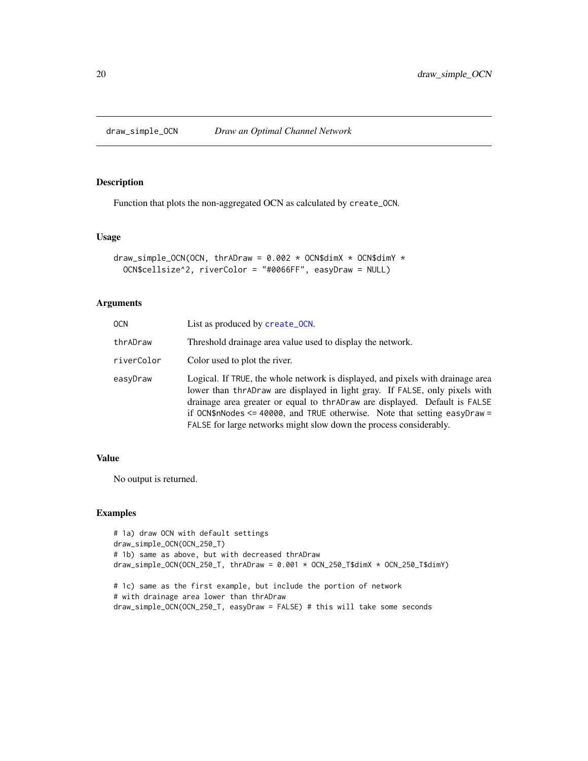<span id="page-19-0"></span>

#### Description

Function that plots the non-aggregated OCN as calculated by create\_OCN.

### Usage

```
draw_simple_OCN(OCN, thrADraw = 0.002 \times OCN$dimX \times OCN$dimY \timesOCN$cellsize^2, riverColor = "#0066FF", easyDraw = NULL)
```
# Arguments

| 0CN        | List as produced by create_OCN.                                                                                                                                                                                                                                                                                                                                                                         |
|------------|---------------------------------------------------------------------------------------------------------------------------------------------------------------------------------------------------------------------------------------------------------------------------------------------------------------------------------------------------------------------------------------------------------|
| thrADraw   | Threshold drainage area value used to display the network.                                                                                                                                                                                                                                                                                                                                              |
| riverColor | Color used to plot the river.                                                                                                                                                                                                                                                                                                                                                                           |
| easyDraw   | Logical. If TRUE, the whole network is displayed, and pixels with drainage area<br>lower than thr AD raw are displayed in light gray. If FALSE, only pixels with<br>drainage area greater or equal to thr AD raw are displayed. Default is FALSE<br>if OCN\$nNodes $\leq$ 40000, and TRUE otherwise. Note that setting easyDraw =<br>FALSE for large networks might slow down the process considerably. |

# Value

No output is returned.

# Examples

```
# 1a) draw OCN with default settings
draw_simple_OCN(OCN_250_T)
# 1b) same as above, but with decreased thrADraw
draw_simple_OCN(OCN_250_T, thrADraw = 0.001 * OCN_250_T$dimX * OCN_250_T$dimY)
# 1c) same as the first example, but include the portion of network
# with drainage area lower than thrADraw
draw_simple_OCN(OCN_250_T, easyDraw = FALSE) # this will take some seconds
```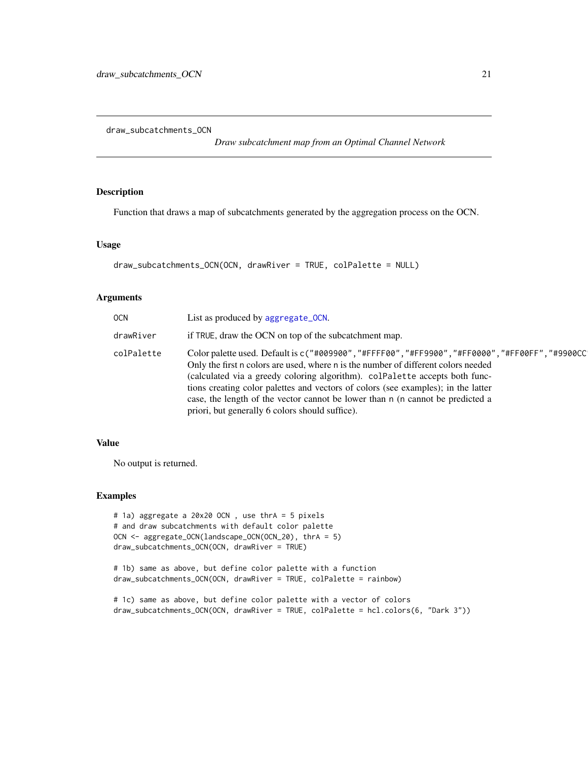<span id="page-20-0"></span>draw\_subcatchments\_OCN

*Draw subcatchment map from an Optimal Channel Network*

# Description

Function that draws a map of subcatchments generated by the aggregation process on the OCN.

#### Usage

```
draw_subcatchments_OCN(OCN, drawRiver = TRUE, colPalette = NULL)
```
#### Arguments

| 0CN        | List as produced by aggregate_OCN.                                                                                                                                                                                                                                                                                                                                                                                                                                                         |
|------------|--------------------------------------------------------------------------------------------------------------------------------------------------------------------------------------------------------------------------------------------------------------------------------------------------------------------------------------------------------------------------------------------------------------------------------------------------------------------------------------------|
| drawRiver  | if TRUE, draw the OCN on top of the subcatchment map.                                                                                                                                                                                                                                                                                                                                                                                                                                      |
| colPalette | Color palette used. Default is c("#009900","#FFFF00","#FF9900","#FF0000","#FF00FF","#9900CC<br>Only the first n colors are used, where n is the number of different colors needed<br>(calculated via a greedy coloring algorithm). colPalette accepts both func-<br>tions creating color palettes and vectors of colors (see examples); in the latter<br>case, the length of the vector cannot be lower than n (n cannot be predicted a<br>priori, but generally 6 colors should suffice). |

# Value

No output is returned.

#### Examples

```
# 1a) aggregate a 20x20 OCN , use thrA = 5 pixels
# and draw subcatchments with default color palette
OCN <- aggregate_OCN(landscape_OCN(OCN_20), thrA = 5)
draw_subcatchments_OCN(OCN, drawRiver = TRUE)
```

```
# 1b) same as above, but define color palette with a function
draw_subcatchments_OCN(OCN, drawRiver = TRUE, colPalette = rainbow)
```
# 1c) same as above, but define color palette with a vector of colors draw\_subcatchments\_OCN(OCN, drawRiver = TRUE, colPalette = hcl.colors(6, "Dark 3"))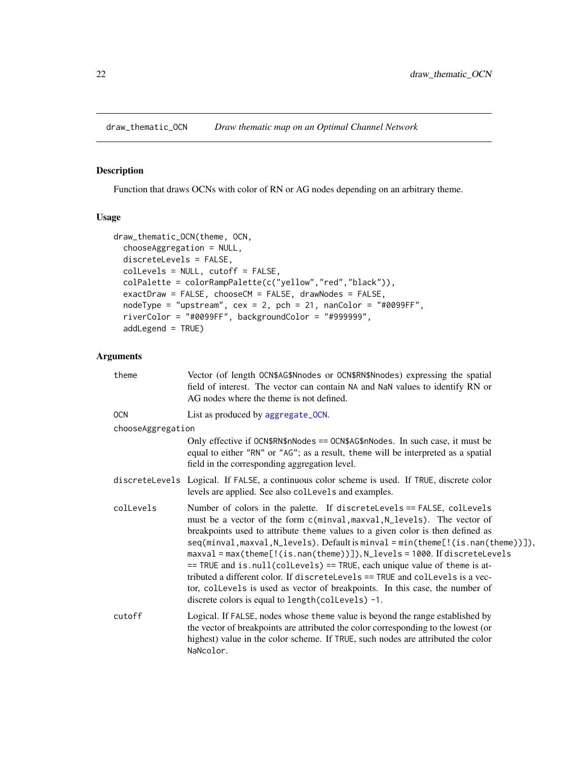<span id="page-21-1"></span><span id="page-21-0"></span>draw\_thematic\_OCN *Draw thematic map on an Optimal Channel Network*

#### Description

Function that draws OCNs with color of RN or AG nodes depending on an arbitrary theme.

#### Usage

```
draw_thematic_OCN(theme, OCN,
 chooseAggregation = NULL,
 discreteLevels = FALSE,
 colLevels = NULL, cutoff = FALSE,
 colPalette = colorRampPalette(c("yellow","red","black")),
 exactDraw = FALSE, chooseCM = FALSE, drawNodes = FALSE,
 nodeType = "upstream", cex = 2, pch = 21, nanColor = "#0099FF",riverColor = "#0099FF", backgroundColor = "#999999",
 addLegend = TRUE)
```
# Arguments

| theme             | Vector (of length OCN\$AG\$Nnodes or OCN\$RN\$Nnodes) expressing the spatial<br>field of interest. The vector can contain NA and NaN values to identify RN or<br>AG nodes where the theme is not defined.                                                                                                                                                                                                                                                                                                                                                                                                                                                                                                    |
|-------------------|--------------------------------------------------------------------------------------------------------------------------------------------------------------------------------------------------------------------------------------------------------------------------------------------------------------------------------------------------------------------------------------------------------------------------------------------------------------------------------------------------------------------------------------------------------------------------------------------------------------------------------------------------------------------------------------------------------------|
| <b>OCN</b>        | List as produced by aggregate_OCN.                                                                                                                                                                                                                                                                                                                                                                                                                                                                                                                                                                                                                                                                           |
| chooseAggregation |                                                                                                                                                                                                                                                                                                                                                                                                                                                                                                                                                                                                                                                                                                              |
|                   | Only effective if $OCN$RN$nNodes = OCN$AG$nNodes$ . In such case, it must be<br>equal to either "RN" or "AG"; as a result, theme will be interpreted as a spatial<br>field in the corresponding aggregation level.                                                                                                                                                                                                                                                                                                                                                                                                                                                                                           |
|                   | discreteLevels Logical. If FALSE, a continuous color scheme is used. If TRUE, discrete color<br>levels are applied. See also collevels and examples.                                                                                                                                                                                                                                                                                                                                                                                                                                                                                                                                                         |
| colLevels         | Number of colors in the palette. If discreteLevels == FALSE, collevels<br>must be a vector of the form c(minval, maxval, N_levels). The vector of<br>breakpoints used to attribute theme values to a given color is then defined as<br>seq(minval,maxval, N_levels). Default is minval = min(theme[!(is.nan(theme))]),<br>$maxval = max(theme[] (is.nan(theme))]), N_{levels} = 1000.$ If discrete Levels<br>== TRUE and is.null(collevels) == TRUE, each unique value of theme is at-<br>tributed a different color. If discreteLevels == TRUE and collevels is a vec-<br>tor, collevels is used as vector of breakpoints. In this case, the number of<br>discrete colors is equal to length(collevels) -1. |
| cutoff            | Logical. If FALSE, nodes whose theme value is beyond the range established by<br>the vector of breakpoints are attributed the color corresponding to the lowest (or<br>highest) value in the color scheme. If TRUE, such nodes are attributed the color<br>NaNcolor.                                                                                                                                                                                                                                                                                                                                                                                                                                         |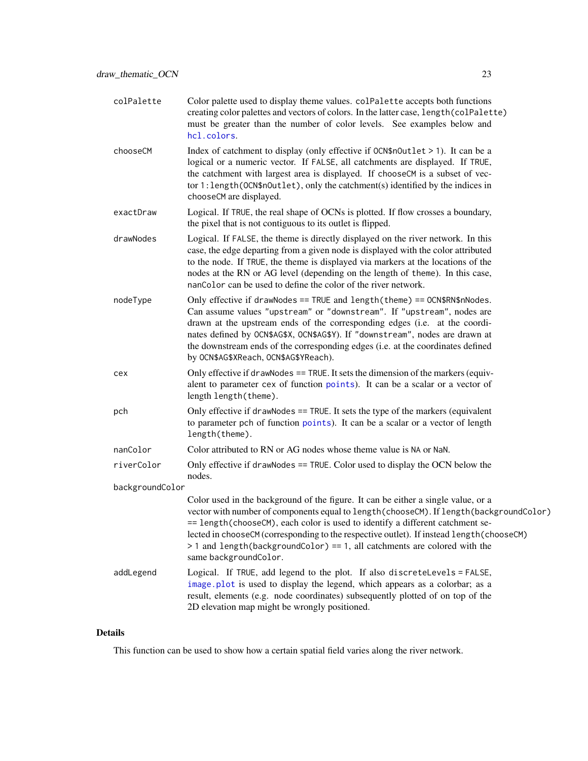<span id="page-22-0"></span>

| colPalette                    | Color palette used to display theme values. colPalette accepts both functions<br>creating color palettes and vectors of colors. In the latter case, length (colPalette)<br>must be greater than the number of color levels. See examples below and<br>hcl.colors.                                                                                                                                                                                                |
|-------------------------------|------------------------------------------------------------------------------------------------------------------------------------------------------------------------------------------------------------------------------------------------------------------------------------------------------------------------------------------------------------------------------------------------------------------------------------------------------------------|
| chooseCM                      | Index of catchment to display (only effective if OCN\$nOutlet > 1). It can be a<br>logical or a numeric vector. If FALSE, all catchments are displayed. If TRUE,<br>the catchment with largest area is displayed. If chooseCM is a subset of vec-<br>tor 1: length (OCN\$nOutlet), only the catchment(s) identified by the indices in<br>chooseCM are displayed.                                                                                                 |
| exactDraw                     | Logical. If TRUE, the real shape of OCNs is plotted. If flow crosses a boundary,<br>the pixel that is not contiguous to its outlet is flipped.                                                                                                                                                                                                                                                                                                                   |
| drawNodes                     | Logical. If FALSE, the theme is directly displayed on the river network. In this<br>case, the edge departing from a given node is displayed with the color attributed<br>to the node. If TRUE, the theme is displayed via markers at the locations of the<br>nodes at the RN or AG level (depending on the length of theme). In this case,<br>nancolor can be used to define the color of the river network.                                                     |
| nodeType                      | Only effective if drawNodes == TRUE and length(theme) == OCN\$RN\$nNodes.<br>Can assume values "upstream" or "downstream". If "upstream", nodes are<br>drawn at the upstream ends of the corresponding edges (i.e. at the coordi-<br>nates defined by OCN\$AG\$X, OCN\$AG\$Y). If "downstream", nodes are drawn at<br>the downstream ends of the corresponding edges (i.e. at the coordinates defined<br>by OCN\$AG\$XReach, OCN\$AG\$YReach).                   |
| cex                           | Only effective if drawNodes == TRUE. It sets the dimension of the markers (equiv-<br>alent to parameter cex of function points). It can be a scalar or a vector of<br>length length(theme).                                                                                                                                                                                                                                                                      |
| pch                           | Only effective if drawNodes == TRUE. It sets the type of the markers (equivalent<br>to parameter pch of function points). It can be a scalar or a vector of length<br>length(theme).                                                                                                                                                                                                                                                                             |
| nanColor                      | Color attributed to RN or AG nodes whose theme value is NA or NaN.                                                                                                                                                                                                                                                                                                                                                                                               |
| riverColor<br>backgroundColor | Only effective if drawNodes == TRUE. Color used to display the OCN below the<br>nodes.                                                                                                                                                                                                                                                                                                                                                                           |
|                               | Color used in the background of the figure. It can be either a single value, or a<br>vector with number of components equal to length(chooseCM). If length(backgroundColor)<br>== length(chooseCM), each color is used to identify a different catchment se-<br>lected in chooseCM (corresponding to the respective outlet). If instead length (chooseCM)<br>> 1 and length (backgroundColor) == 1, all catchments are colored with the<br>same backgroundColor. |
| addLegend                     | Logical. If TRUE, add legend to the plot. If also discreteLevels = FALSE,<br>image.plot is used to display the legend, which appears as a colorbar; as a<br>result, elements (e.g. node coordinates) subsequently plotted of on top of the<br>2D elevation map might be wrongly positioned.                                                                                                                                                                      |

# Details

This function can be used to show how a certain spatial field varies along the river network.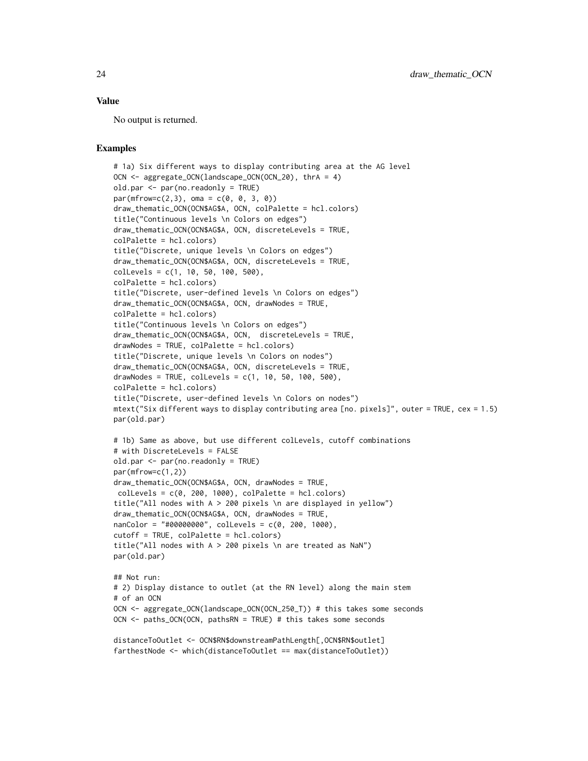#### Value

No output is returned.

#### Examples

```
# 1a) Six different ways to display contributing area at the AG level
OCN <- aggregate_OCN(landscape_OCN(OCN_20), thrA = 4)
old.par <- par(no.readonly = TRUE)
par(mfrow=c(2,3), \text{ oma} = c(0, 0, 3, 0))draw_thematic_OCN(OCN$AG$A, OCN, colPalette = hcl.colors)
title("Continuous levels \n Colors on edges")
draw_thematic_OCN(OCN$AG$A, OCN, discreteLevels = TRUE,
colPalette = hcl.colors)
title("Discrete, unique levels \n Colors on edges")
draw_thematic_OCN(OCN$AG$A, OCN, discreteLevels = TRUE,
collevels = c(1, 10, 50, 100, 500),colPalette = hcl.colors)
title("Discrete, user-defined levels \n Colors on edges")
draw_thematic_OCN(OCN$AG$A, OCN, drawNodes = TRUE,
colPalette = hcl.colors)
title("Continuous levels \n Colors on edges")
draw_thematic_OCN(OCN$AG$A, OCN, discreteLevels = TRUE,
drawNodes = TRUE, colPalette = hcl.colors)
title("Discrete, unique levels \n Colors on nodes")
draw_thematic_OCN(OCN$AG$A, OCN, discreteLevels = TRUE,
drawNodes = TRUE, colLevels = c(1, 10, 50, 100, 500),
colPalette = hcl.colors)
title("Discrete, user-defined levels \n Colors on nodes")
mtext("Six different ways to display contributing area [no. pixels]", outer = TRUE, cex = 1.5)
par(old.par)
# 1b) Same as above, but use different colLevels, cutoff combinations
# with DiscreteLevels = FALSE
old.par <- par(no.readonly = TRUE)
par(mfrow=c(1,2))
draw_thematic_OCN(OCN$AG$A, OCN, drawNodes = TRUE,
collevels = c(0, 200, 1000), collecte = hcl.colors)title("All nodes with A > 200 pixels \n are displayed in yellow")
draw_thematic_OCN(OCN$AG$A, OCN, drawNodes = TRUE,
nanColor = "#00000000", colLevels = c(0, 200, 1000),
cutoff = TRUE, colPalette = hcl.colors)
title("All nodes with A > 200 pixels \n are treated as NaN")
par(old.par)
## Not run:
# 2) Display distance to outlet (at the RN level) along the main stem
# of an OCN
OCN <- aggregate_OCN(landscape_OCN(OCN_250_T)) # this takes some seconds
OCN <- paths_OCN(OCN, pathsRN = TRUE) # this takes some seconds
distanceToOutlet <- OCN$RN$downstreamPathLength[,OCN$RN$outlet]
farthestNode <- which(distanceToOutlet == max(distanceToOutlet))
```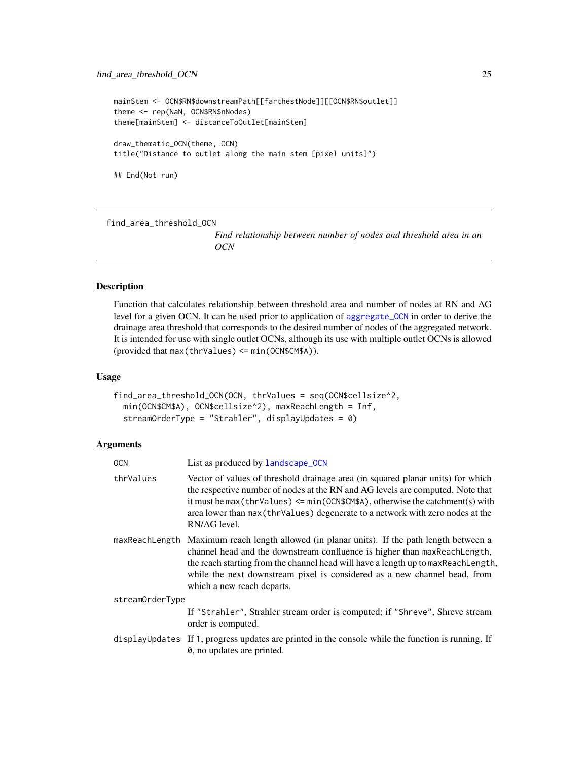```
mainStem <- OCN$RN$downstreamPath[[farthestNode]][[OCN$RN$outlet]]
theme <- rep(NaN, OCN$RN$nNodes)
theme[mainStem] <- distanceToOutlet[mainStem]
draw_thematic_OCN(theme, OCN)
title("Distance to outlet along the main stem [pixel units]")
## End(Not run)
```
find\_area\_threshold\_OCN

*Find relationship between number of nodes and threshold area in an OCN*

#### Description

Function that calculates relationship between threshold area and number of nodes at RN and AG level for a given OCN. It can be used prior to application of [aggregate\\_OCN](#page-2-1) in order to derive the drainage area threshold that corresponds to the desired number of nodes of the aggregated network. It is intended for use with single outlet OCNs, although its use with multiple outlet OCNs is allowed (provided that max(thrValues) <= min(OCN\$CM\$A)).

#### Usage

```
find_area_threshold_OCN(OCN, thrValues = seq(OCN$cellsize^2,
 min(OCN$CM$A), OCN$cellsize^2), maxReachLength = Inf,
  streamOrderType = "Strahler", displayUpdates = 0)
```
# Arguments

| <b>OCN</b>      | List as produced by landscape_OCN                                                                                                                                                                                                                                                                                                                                        |
|-----------------|--------------------------------------------------------------------------------------------------------------------------------------------------------------------------------------------------------------------------------------------------------------------------------------------------------------------------------------------------------------------------|
| thrValues       | Vector of values of threshold drainage area (in squared planar units) for which<br>the respective number of nodes at the RN and AG levels are computed. Note that<br>it must be max (thrValues) $\leq$ min(OCN\$CM\$A), otherwise the catchment(s) with<br>area lower than max (thrValues) degenerate to a network with zero nodes at the<br>RN/AG level.                |
|                 | maxReachLength Maximum reach length allowed (in planar units). If the path length between a<br>channel head and the downstream confluence is higher than maxReachLength,<br>the reach starting from the channel head will have a length up to maxReachLength,<br>while the next downstream pixel is considered as a new channel head, from<br>which a new reach departs. |
| streamOrderType |                                                                                                                                                                                                                                                                                                                                                                          |
|                 | If "Strahler", Strahler stream order is computed; if "Shreve", Shreve stream<br>order is computed.                                                                                                                                                                                                                                                                       |
|                 | displayUpdates If 1, progress updates are printed in the console while the function is running. If<br>0, no updates are printed.                                                                                                                                                                                                                                         |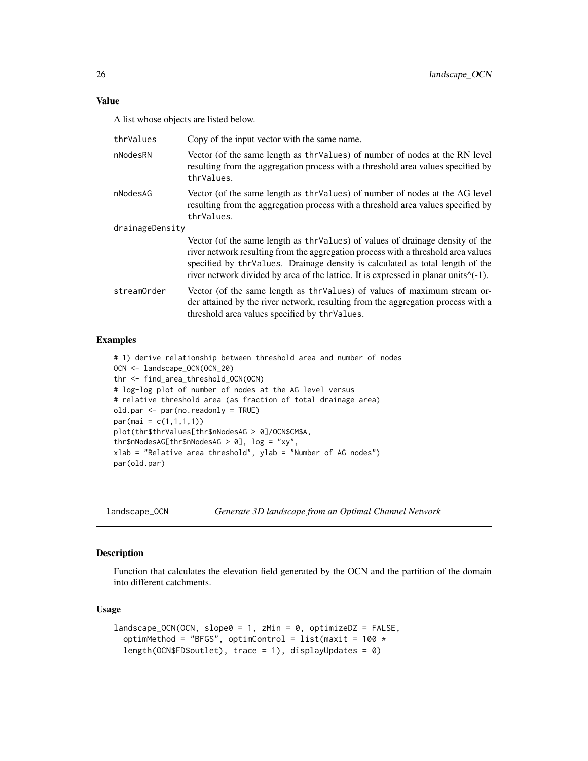<span id="page-25-0"></span>A list whose objects are listed below.

| thrValues       | Copy of the input vector with the same name.                                                                                                                                                                                                                                                                                                          |
|-----------------|-------------------------------------------------------------------------------------------------------------------------------------------------------------------------------------------------------------------------------------------------------------------------------------------------------------------------------------------------------|
| nNodesRN        | Vector (of the same length as thr Values) of number of nodes at the RN level<br>resulting from the aggregation process with a threshold area values specified by<br>thrValues.                                                                                                                                                                        |
| nNodesAG        | Vector (of the same length as thr Values) of number of nodes at the AG level<br>resulting from the aggregation process with a threshold area values specified by<br>thrValues.                                                                                                                                                                        |
| drainageDensity |                                                                                                                                                                                                                                                                                                                                                       |
|                 | Vector (of the same length as thr Values) of values of drainage density of the<br>river network resulting from the aggregation process with a threshold area values<br>specified by thr Values. Drainage density is calculated as total length of the<br>river network divided by area of the lattice. It is expressed in planar units $\wedge$ (-1). |
| streamOrder     | Vector (of the same length as thr Values) of values of maximum stream or-<br>der attained by the river network, resulting from the aggregation process with a<br>threshold area values specified by thr Values.                                                                                                                                       |

#### Examples

```
# 1) derive relationship between threshold area and number of nodes
OCN <- landscape_OCN(OCN_20)
thr <- find_area_threshold_OCN(OCN)
# log-log plot of number of nodes at the AG level versus
# relative threshold area (as fraction of total drainage area)
old.par <- par(no.readonly = TRUE)
par(max = c(1,1,1,1))plot(thr$thrValues[thr$nNodesAG > 0]/OCN$CM$A,
thr$nNodesAG[thr$nNodesAG > 0], log = "xy",
xlab = "Relative area threshold", ylab = "Number of AG nodes")
par(old.par)
```
<span id="page-25-1"></span>landscape\_OCN *Generate 3D landscape from an Optimal Channel Network*

# Description

Function that calculates the elevation field generated by the OCN and the partition of the domain into different catchments.

#### Usage

```
landscale_0CN(0CN, slope0 = 1, zMin = 0, optimizeDZ = FALSE,optimMethod = "BFGS", optimControl = list(maxit = 100 *length(OCN$FD$outlet), trace = 1), displayUpdates = 0)
```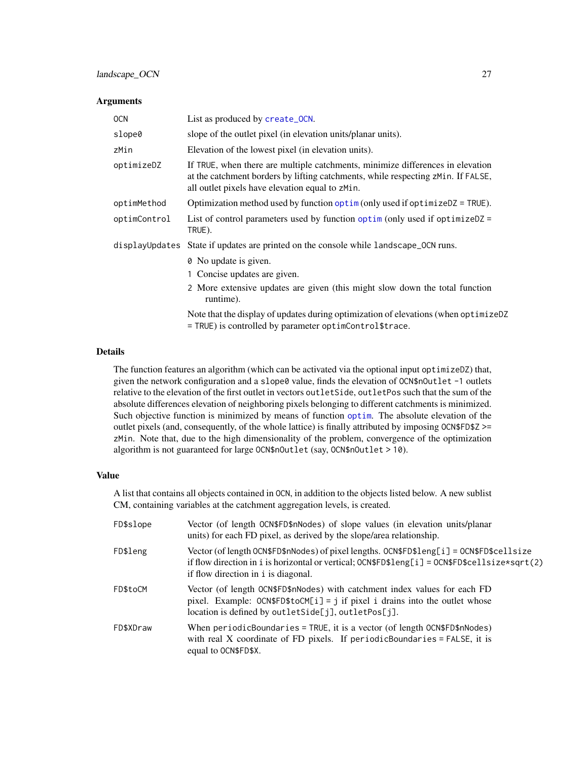## <span id="page-26-0"></span>Arguments

| <b>OCN</b>   | List as produced by create_OCN.                                                                                                                                                                                       |
|--------------|-----------------------------------------------------------------------------------------------------------------------------------------------------------------------------------------------------------------------|
| slope0       | slope of the outlet pixel (in elevation units/planar units).                                                                                                                                                          |
| zMin         | Elevation of the lowest pixel (in elevation units).                                                                                                                                                                   |
| optimizeDZ   | If TRUE, when there are multiple catchments, minimize differences in elevation<br>at the catchment borders by lifting catchments, while respecting zMin. If FALSE,<br>all outlet pixels have elevation equal to zMin. |
| optimMethod  | Optimization method used by function optim (only used if optimize $DZ = TRUE$ ).                                                                                                                                      |
| optimControl | List of control parameters used by function optim (only used if optimize $DZ =$<br>TRUE).                                                                                                                             |
|              | displayUpdates State if updates are printed on the console while landscape_OCN runs.                                                                                                                                  |
|              | 0 No update is given.                                                                                                                                                                                                 |
|              | 1 Concise updates are given.                                                                                                                                                                                          |
|              | 2 More extensive updates are given (this might slow down the total function<br>runtime).                                                                                                                              |
|              | Note that the display of updates during optimization of elevations (when optimizeDZ<br>= TRUE) is controlled by parameter optimControl\$trace.                                                                        |

#### Details

The function features an algorithm (which can be activated via the optional input optimizeDZ) that, given the network configuration and a slope0 value, finds the elevation of OCN\$nOutlet -1 outlets relative to the elevation of the first outlet in vectors outletSide, outletPos such that the sum of the absolute differences elevation of neighboring pixels belonging to different catchments is minimized. Such objective function is minimized by means of function [optim](#page-0-0). The absolute elevation of the outlet pixels (and, consequently, of the whole lattice) is finally attributed by imposing  $OCN$FD$Z \ge$ zMin. Note that, due to the high dimensionality of the problem, convergence of the optimization algorithm is not guaranteed for large OCN\$nOutlet (say, OCN\$nOutlet > 10).

# Value

A list that contains all objects contained in OCN, in addition to the objects listed below. A new sublist CM, containing variables at the catchment aggregation levels, is created.

| FD\$slope | Vector (of length OCN\$FD\$nNodes) of slope values (in elevation units/planar<br>units) for each FD pixel, as derived by the slope/area relationship.                                                                                                 |
|-----------|-------------------------------------------------------------------------------------------------------------------------------------------------------------------------------------------------------------------------------------------------------|
| FD\$leng  | Vector (of length OCN\$FD\$nNodes) of pixel lengths. OCN\$FD\$1eng[i] = OCN\$FD\$cellsize<br>if flow direction in i is horizontal or vertical; $0 \text{CN$FDSlength}$ $[1] = 0 \text{CN$FDScellsize*sqrt(2)}$<br>if flow direction in i is diagonal. |
| FD\$toCM  | Vector (of length OCN\$FD\$nNodes) with catchment index values for each FD<br>pixel. Example: $OCN$FD$toCM[i] = j$ if pixel i drains into the outlet whose<br>location is defined by outletSide[j], outletPos[j].                                     |
| FD\$XDraw | When periodicBoundaries = TRUE, it is a vector (of length OCN\$FD\$nNodes)<br>with real X coordinate of FD pixels. If periodicBoundaries = $FALSE$ , it is<br>equal to OCN\$FD\$X.                                                                    |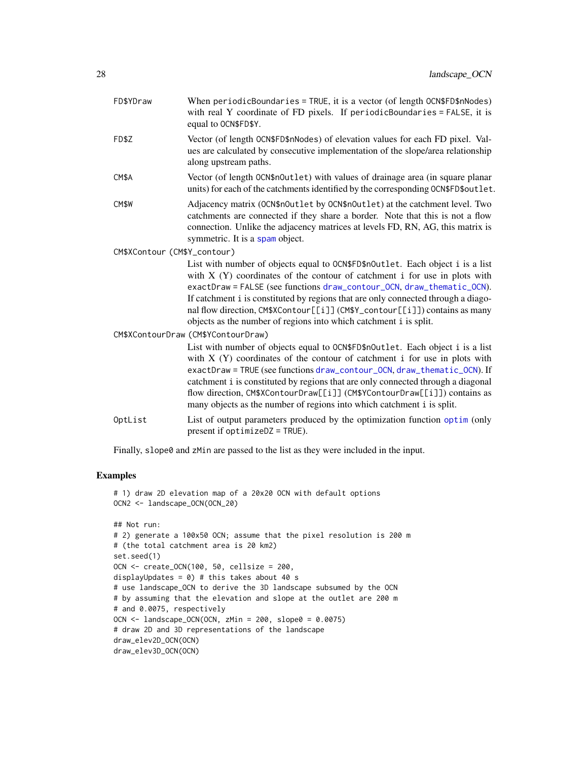<span id="page-27-0"></span>

| FD\$YDraw                    | When $periodicBoundaries = TRUE$ , it is a vector (of length $OCN$FD$nNodes)$ )<br>with real Y coordinate of FD pixels. If periodicBoundaries = FALSE, it is<br>equal to OCN\$FD\$Y.                                                                                                                                                                                                                                                                                                 |  |
|------------------------------|--------------------------------------------------------------------------------------------------------------------------------------------------------------------------------------------------------------------------------------------------------------------------------------------------------------------------------------------------------------------------------------------------------------------------------------------------------------------------------------|--|
| FD\$Z                        | Vector (of length OCN\$FD\$nNodes) of elevation values for each FD pixel. Val-<br>ues are calculated by consecutive implementation of the slope/area relationship<br>along upstream paths.                                                                                                                                                                                                                                                                                           |  |
| CM\$A                        | Vector (of length OCN\$nOutlet) with values of drainage area (in square planar<br>units) for each of the catchments identified by the corresponding OCN\$FD\$outlet.                                                                                                                                                                                                                                                                                                                 |  |
| CM\$W                        | Adjacency matrix (OCN\$nOutlet by OCN\$nOutlet) at the catchment level. Two<br>catchments are connected if they share a border. Note that this is not a flow<br>connection. Unlike the adjacency matrices at levels FD, RN, AG, this matrix is<br>symmetric. It is a spam object.                                                                                                                                                                                                    |  |
| CM\$XContour (CM\$Y_contour) |                                                                                                                                                                                                                                                                                                                                                                                                                                                                                      |  |
|                              | List with number of objects equal to OCN\$FD\$nOutlet. Each object i is a list<br>with $X(Y)$ coordinates of the contour of catchment i for use in plots with<br>exactDraw = FALSE (see functions draw_contour_OCN, draw_thematic_OCN).<br>If catchment i is constituted by regions that are only connected through a diago-<br>nal flow direction, CM\$XContour[[i]] (CM\$Y_contour[[i]]) contains as many<br>objects as the number of regions into which catchment i is split.     |  |
|                              | CM\$XContourDraw (CM\$YContourDraw)                                                                                                                                                                                                                                                                                                                                                                                                                                                  |  |
|                              | List with number of objects equal to OCN\$FD\$nOutlet. Each object i is a list<br>with $X(Y)$ coordinates of the contour of catchment i for use in plots with<br>exactDraw = TRUE (see functions draw_contour_OCN, draw_thematic_OCN). If<br>catchment i is constituted by regions that are only connected through a diagonal<br>flow direction, CM\$XContourDraw[[i]] (CM\$YContourDraw[[i]]) contains as<br>many objects as the number of regions into which catchment i is split. |  |
| OptList                      | List of output parameters produced by the optimization function optim (only<br>present if $optimize$ $DZ = TRUE$ ).                                                                                                                                                                                                                                                                                                                                                                  |  |
|                              |                                                                                                                                                                                                                                                                                                                                                                                                                                                                                      |  |

Finally, slope0 and zMin are passed to the list as they were included in the input.

# Examples

```
# 1) draw 2D elevation map of a 20x20 OCN with default options
OCN2 <- landscape_OCN(OCN_20)
## Not run:
# 2) generate a 100x50 OCN; assume that the pixel resolution is 200 m
# (the total catchment area is 20 km2)
set.seed(1)
OCN <- create_OCN(100, 50, cellsize = 200,
displayUpdates = 0) # this takes about 40 s
# use landscape_OCN to derive the 3D landscape subsumed by the OCN
# by assuming that the elevation and slope at the outlet are 200 m
# and 0.0075, respectively
OCN <- landscape_OCN(OCN, zMin = 200, slope0 = 0.0075)
# draw 2D and 3D representations of the landscape
draw_elev2D_OCN(OCN)
draw_elev3D_OCN(OCN)
```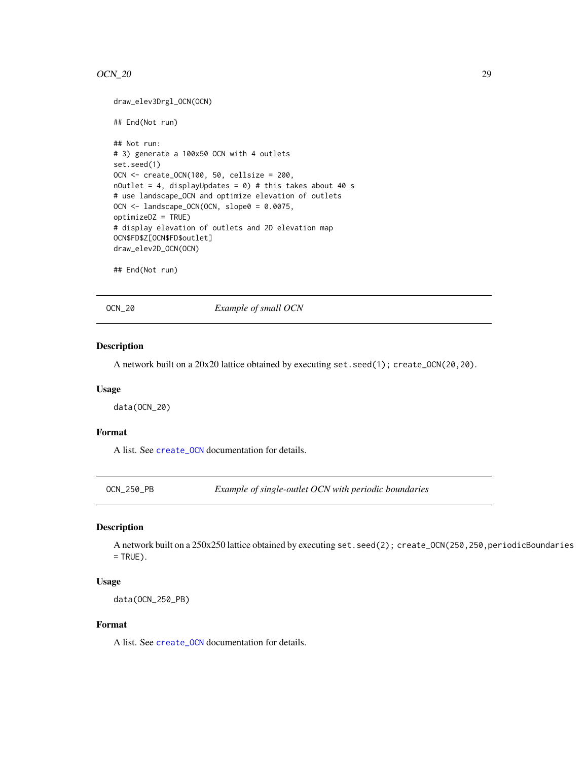#### <span id="page-28-0"></span> $OCN_2$  29

```
draw_elev3Drgl_OCN(OCN)
## End(Not run)
## Not run:
# 3) generate a 100x50 OCN with 4 outlets
set.seed(1)
OCN <- create_OCN(100, 50, cellsize = 200,
nOutlet = 4, displayUpdates = \theta) # this takes about 40 s
# use landscape_OCN and optimize elevation of outlets
OCN <- landscape_OCN(OCN, slope0 = 0.0075,
optimizeDZ = TRUE)
# display elevation of outlets and 2D elevation map
OCN$FD$Z[OCN$FD$outlet]
draw_elev2D_OCN(OCN)
```

```
## End(Not run)
```
OCN\_20 *Example of small OCN*

#### Description

A network built on a 20x20 lattice obtained by executing set.seed(1); create\_OCN(20,20).

#### Usage

data(OCN\_20)

# Format

A list. See [create\\_OCN](#page-7-1) documentation for details.

OCN\_250\_PB *Example of single-outlet OCN with periodic boundaries*

#### Description

A network built on a 250x250 lattice obtained by executing set.seed(2); create\_OCN(250,250, periodicBoundaries  $=$  TRUE).

#### Usage

data(OCN\_250\_PB)

# Format

A list. See [create\\_OCN](#page-7-1) documentation for details.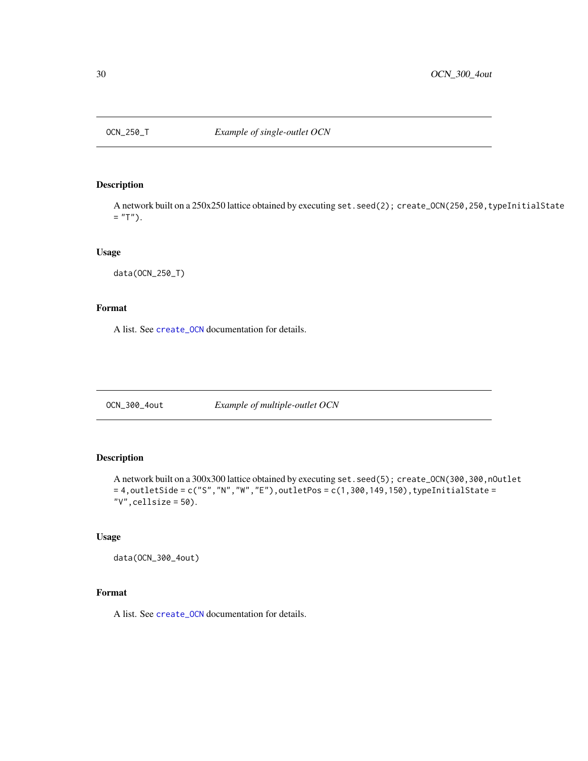<span id="page-29-0"></span>

# Description

A network built on a 250x250 lattice obtained by executing set.seed(2); create\_OCN(250,250, typeInitialState  $=$  "T").

# Usage

data(OCN\_250\_T)

# Format

A list. See [create\\_OCN](#page-7-1) documentation for details.

OCN\_300\_4out *Example of multiple-outlet OCN*

# Description

A network built on a 300x300 lattice obtained by executing set.seed(5); create\_OCN(300,300,nOutlet  $= 4$ , outletSide = c("S", "N", "W", "E"), outletPos = c(1,300,149,150), typeInitialState = "V",cellsize = 50).

# Usage

data(OCN\_300\_4out)

# Format

A list. See [create\\_OCN](#page-7-1) documentation for details.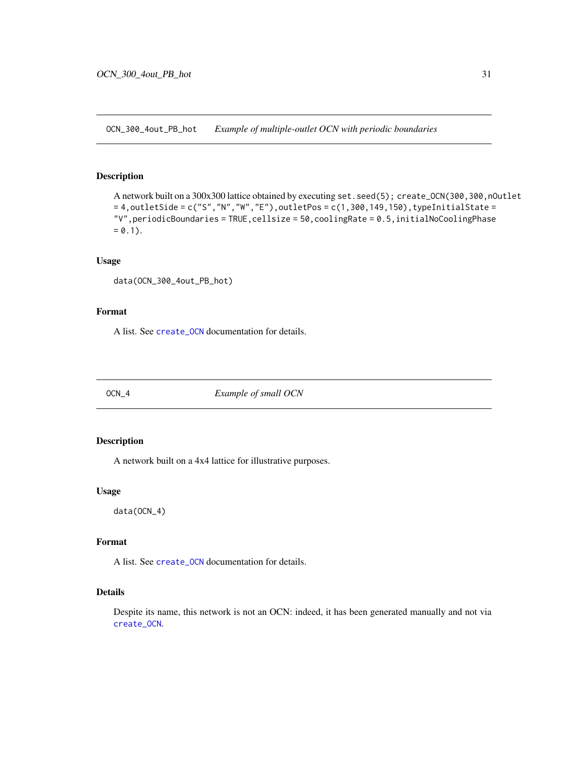<span id="page-30-1"></span><span id="page-30-0"></span>OCN\_300\_4out\_PB\_hot *Example of multiple-outlet OCN with periodic boundaries*

# Description

A network built on a 300x300 lattice obtained by executing set.seed(5); create\_OCN(300,300,nOutlet  $= 4$ , outletSide = c("S", "N", "W", "E"), outletPos = c(1,300,149,150), typeInitialState = "V",periodicBoundaries = TRUE,cellsize = 50,coolingRate = 0.5,initialNoCoolingPhase  $= 0.1$ ).

#### Usage

```
data(OCN_300_4out_PB_hot)
```
#### Format

A list. See [create\\_OCN](#page-7-1) documentation for details.

OCN\_4 *Example of small OCN*

#### Description

A network built on a 4x4 lattice for illustrative purposes.

# Usage

data(OCN\_4)

# Format

A list. See [create\\_OCN](#page-7-1) documentation for details.

# Details

Despite its name, this network is not an OCN: indeed, it has been generated manually and not via [create\\_OCN](#page-7-1).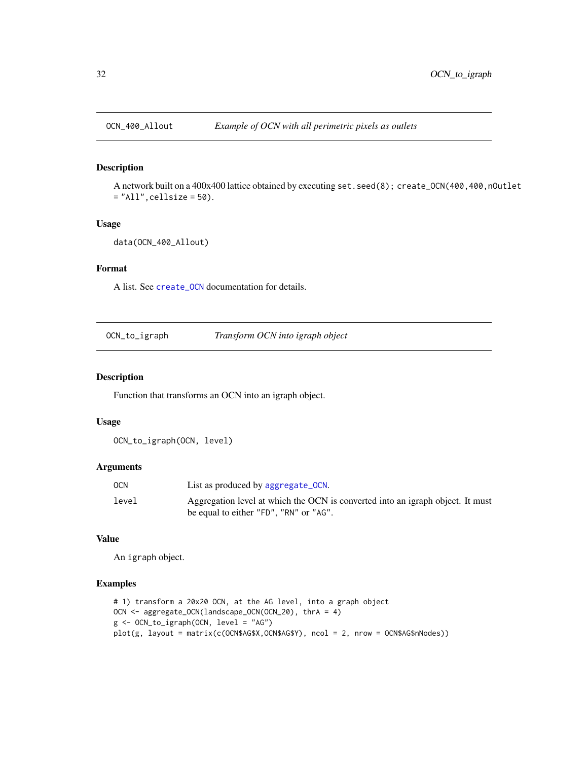<span id="page-31-0"></span>

#### Description

A network built on a 400x400 lattice obtained by executing set.seed(8); create\_OCN(400,400,nOutlet = "All",cellsize = 50).

#### Usage

```
data(OCN_400_Allout)
```
# Format

A list. See [create\\_OCN](#page-7-1) documentation for details.

| OCN_to_igraph | Transform OCN into igraph object |  |
|---------------|----------------------------------|--|
|               |                                  |  |

#### Description

Function that transforms an OCN into an igraph object.

#### Usage

OCN\_to\_igraph(OCN, level)

#### Arguments

| <b>OCN</b> | List as produced by aggregate_OCN.                                             |
|------------|--------------------------------------------------------------------------------|
| level      | Aggregation level at which the OCN is converted into an igraph object. It must |
|            | be equal to either "FD", "RN" or "AG".                                         |

# Value

An igraph object.

#### Examples

```
# 1) transform a 20x20 OCN, at the AG level, into a graph object
OCN <- aggregate_OCN(landscape_OCN(OCN_20), thrA = 4)
g <- OCN_to_igraph(OCN, level = "AG")
plot(g, layout = matrix(c(OCN$AG$X,OCN$AG$Y), ncol = 2, nrow = OCN$AG$nNodes))
```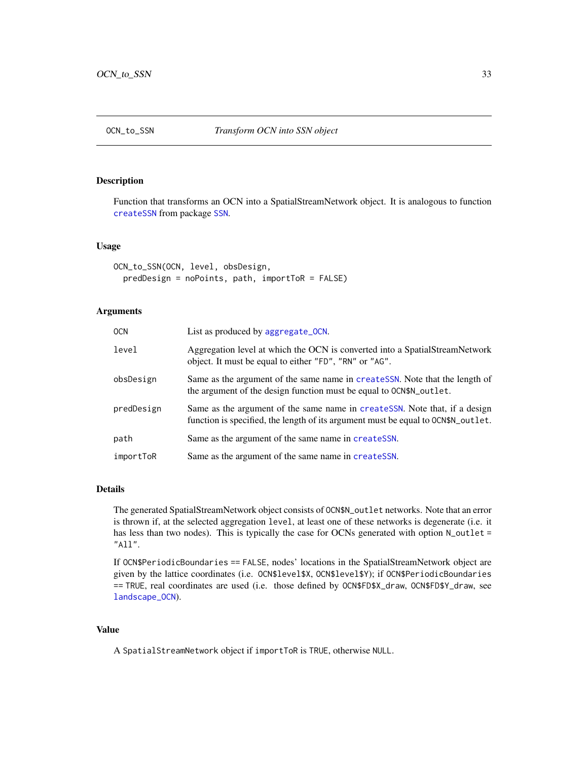<span id="page-32-0"></span>

### Description

Function that transforms an OCN into a SpatialStreamNetwork object. It is analogous to function [createSSN](#page-0-0) from package [SSN](#page-0-0).

#### Usage

```
OCN_to_SSN(OCN, level, obsDesign,
  predDesign = noPoints, path, importToR = FALSE)
```
# Arguments

| <b>OCN</b> | List as produced by aggregate_OCN.                                                                                                                                |
|------------|-------------------------------------------------------------------------------------------------------------------------------------------------------------------|
| level      | Aggregation level at which the OCN is converted into a Spatial Stream Network<br>object. It must be equal to either "FD", "RN" or "AG".                           |
| obsDesign  | Same as the argument of the same name in createSSN. Note that the length of<br>the argument of the design function must be equal to $OCN$N_outlet$ .              |
| predDesign | Same as the argument of the same name in createSSN. Note that, if a design<br>function is specified, the length of its argument must be equal to $OCN$N_outlet$ . |
| path       | Same as the argument of the same name in createSSN.                                                                                                               |
| importToR  | Same as the argument of the same name in createSSN.                                                                                                               |

#### Details

The generated SpatialStreamNetwork object consists of OCN\$N\_outlet networks. Note that an error is thrown if, at the selected aggregation level, at least one of these networks is degenerate (i.e. it has less than two nodes). This is typically the case for OCNs generated with option N\_outlet = "All".

If OCN\$PeriodicBoundaries == FALSE, nodes' locations in the SpatialStreamNetwork object are given by the lattice coordinates (i.e. OCN\$level\$X, OCN\$level\$Y); if OCN\$PeriodicBoundaries == TRUE, real coordinates are used (i.e. those defined by OCN\$FD\$X\_draw, OCN\$FD\$Y\_draw, see [landscape\\_OCN](#page-25-1)).

#### Value

A SpatialStreamNetwork object if importToR is TRUE, otherwise NULL.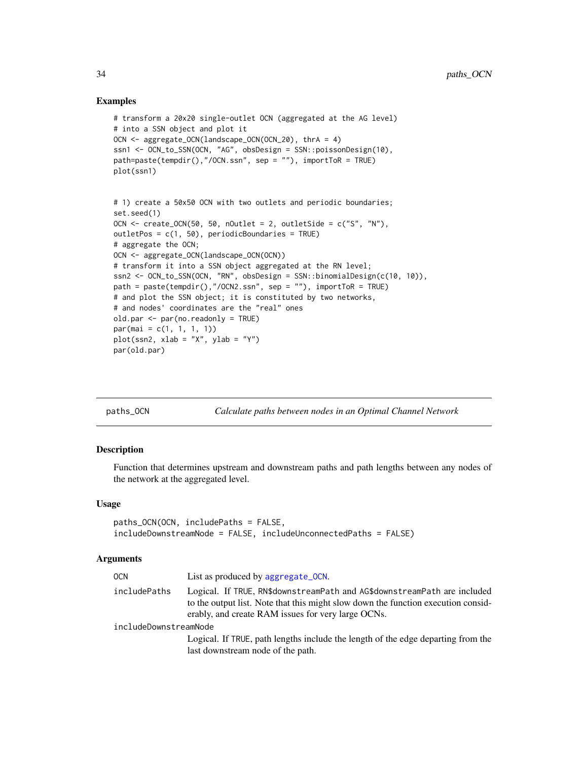#### Examples

```
# transform a 20x20 single-outlet OCN (aggregated at the AG level)
# into a SSN object and plot it
OCN <- aggregate_OCN(landscape_OCN(OCN_20), thrA = 4)
ssn1 <- OCN_to_SSN(OCN, "AG", obsDesign = SSN::poissonDesign(10),
path=paste(tempdir(),"/OCN.ssn", sep = ""), importToR = TRUE)
plot(ssn1)
# 1) create a 50x50 OCN with two outlets and periodic boundaries;
set.seed(1)
OCN \le create_OCN(50, 50, nOutlet = 2, outletSide = c("S", "N"),
outletPos = c(1, 50), periodicBoundaries = TRUE)
# aggregate the OCN;
OCN <- aggregate_OCN(landscape_OCN(OCN))
# transform it into a SSN object aggregated at the RN level;
ssn2 <- OCN_to_SSN(OCN, "RN", obsDesign = SSN::binomialDesign(c(10, 10)),
path = paste(tempdir(),"/OCN2.ssn", sep = ""), importToR = TRUE)
# and plot the SSN object; it is constituted by two networks,
# and nodes' coordinates are the "real" ones
old.par <- par(no.readonly = TRUE)
par(max = c(1, 1, 1, 1))plot(ssn2, xlab = "X", ylab = "Y")
par(old.par)
```
paths\_OCN *Calculate paths between nodes in an Optimal Channel Network*

#### Description

Function that determines upstream and downstream paths and path lengths between any nodes of the network at the aggregated level.

#### Usage

```
paths_OCN(OCN, includePaths = FALSE,
includeDownstreamNode = FALSE, includeUnconnectedPaths = FALSE)
```
#### Arguments

| 0CN                   | List as produced by aggregate OCN.                                                                                                                                                                                  |
|-----------------------|---------------------------------------------------------------------------------------------------------------------------------------------------------------------------------------------------------------------|
| includePaths          | Logical. If TRUE, RN\$downstreamPath and AG\$downstreamPath are included<br>to the output list. Note that this might slow down the function execution consid-<br>erably, and create RAM issues for very large OCNs. |
| includeDownstreamNode |                                                                                                                                                                                                                     |
|                       | Logical. If TRUE, path lengths include the length of the edge departing from the                                                                                                                                    |
|                       | last downstream node of the path.                                                                                                                                                                                   |

<span id="page-33-0"></span>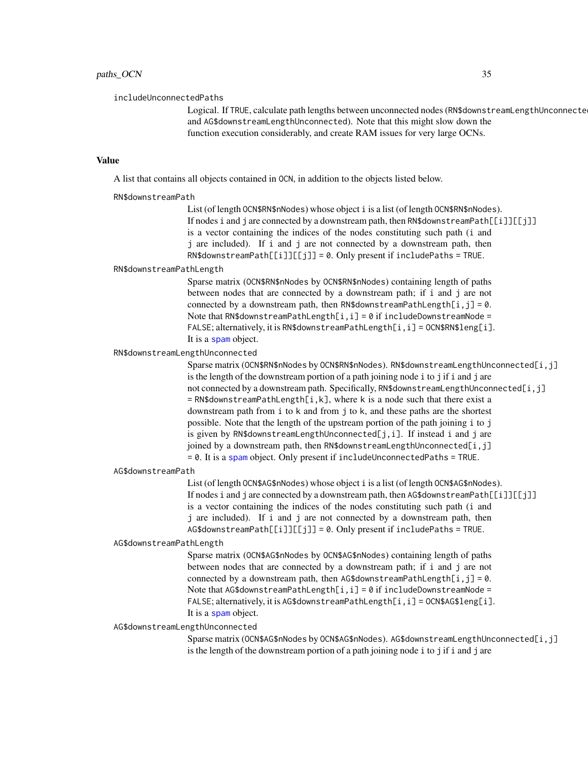<span id="page-34-0"></span>includeUnconnectedPaths

Logical. If TRUE, calculate path lengths between unconnected nodes (RN\$downstreamLengthUnconnected and AG\$downstreamLengthUnconnected). Note that this might slow down the function execution considerably, and create RAM issues for very large OCNs.

#### Value

A list that contains all objects contained in OCN, in addition to the objects listed below.

#### RN\$downstreamPath

List (of length OCN\$RN\$nNodes) whose object i is a list (of length OCN\$RN\$nNodes). If nodes i and j are connected by a downstream path, then RN\$downstreamPath[[i]][[j]] is a vector containing the indices of the nodes constituting such path (i and j are included). If i and j are not connected by a downstream path, then RN\$downstreamPath[[i]][[j]] = 0. Only present if includePaths = TRUE.

#### RN\$downstreamPathLength

Sparse matrix (OCN\$RN\$nNodes by OCN\$RN\$nNodes) containing length of paths between nodes that are connected by a downstream path; if i and j are not connected by a downstream path, then RN\$downstreamPathLength[i,j] =  $0$ . Note that RN\$downstreamPathLength[ $i$ , $i$ ] = 0 if includeDownstreamNode = FALSE; alternatively, it is RN\$downstreamPathLength[i, i] = OCN\$RN\$leng[i]. It is a [spam](#page-0-0) object.

#### RN\$downstreamLengthUnconnected

Sparse matrix (OCN\$RN\$nNodes by OCN\$RN\$nNodes). RN\$downstreamLengthUnconnected[i,j] is the length of the downstream portion of a path joining node i to j if i and j are not connected by a downstream path. Specifically, RN\$downstreamLengthUnconnected[i,j]  $=$  RN\$downstreamPathLength[i,k], where k is a node such that there exist a downstream path from i to k and from j to k, and these paths are the shortest possible. Note that the length of the upstream portion of the path joining i to j is given by RN\$downstreamLengthUnconnected[j,i]. If instead i and j are joined by a downstream path, then RN\$downstreamLengthUnconnected[i,j] = 0. It is a [spam](#page-0-0) object. Only present if includeUnconnectedPaths = TRUE.

AG\$downstreamPath

List (of length OCN\$AG\$nNodes) whose object i is a list (of length OCN\$AG\$nNodes). If nodes i and j are connected by a downstream path, then AG\$downstreamPath[[i]][[j]] is a vector containing the indices of the nodes constituting such path (i and j are included). If i and j are not connected by a downstream path, then AG\$downstreamPath[[i]][[j]] = 0. Only present if includePaths = TRUE.

#### AG\$downstreamPathLength

Sparse matrix (OCN\$AG\$nNodes by OCN\$AG\$nNodes) containing length of paths between nodes that are connected by a downstream path; if i and j are not connected by a downstream path, then AG\$downstreamPathLength[i,j] =  $0$ . Note that AG\$downstreamPathLength[ $i$ , $i$ ] = 0 if includeDownstreamNode = FALSE; alternatively, it is AG\$downstreamPathLength[i, i] = OCN\$AG\$leng[i]. It is a [spam](#page-0-0) object.

#### AG\$downstreamLengthUnconnected

Sparse matrix (OCN\$AG\$nNodes by OCN\$AG\$nNodes). AG\$downstreamLengthUnconnected[i,j] is the length of the downstream portion of a path joining node i to j if i and j are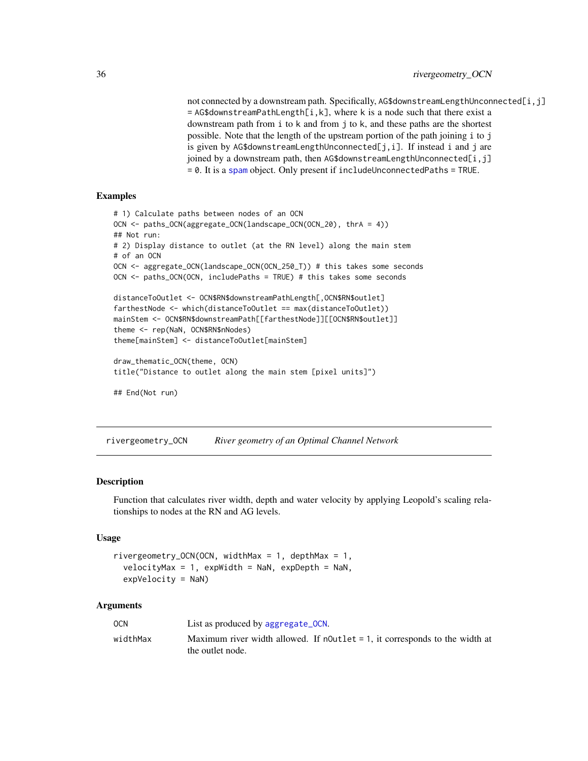<span id="page-35-0"></span>not connected by a downstream path. Specifically, AG\$downstreamLengthUnconnected[i,j]  $=$  AG\$downstreamPathLength[i,k], where k is a node such that there exist a downstream path from i to k and from j to k, and these paths are the shortest possible. Note that the length of the upstream portion of the path joining i to j is given by AG\$downstreamLengthUnconnected[j,i]. If instead i and j are joined by a downstream path, then AG\$downstreamLengthUnconnected[i,j]  $= 0$ . It is a [spam](#page-0-0) object. Only present if includeUnconnectedPaths = TRUE.

# Examples

```
# 1) Calculate paths between nodes of an OCN
OCN <- paths_OCN(aggregate_OCN(landscape_OCN(OCN_20), thrA = 4))
## Not run:
# 2) Display distance to outlet (at the RN level) along the main stem
# of an OCN
OCN <- aggregate_OCN(landscape_OCN(OCN_250_T)) # this takes some seconds
OCN <- paths_OCN(OCN, includePaths = TRUE) # this takes some seconds
distanceToOutlet <- OCN$RN$downstreamPathLength[,OCN$RN$outlet]
farthestNode <- which(distanceToOutlet == max(distanceToOutlet))
mainStem <- OCN$RN$downstreamPath[[farthestNode]][[OCN$RN$outlet]]
theme <- rep(NaN, OCN$RN$nNodes)
theme[mainStem] <- distanceToOutlet[mainStem]
draw_thematic_OCN(theme, OCN)
title("Distance to outlet along the main stem [pixel units]")
## End(Not run)
```
rivergeometry\_OCN *River geometry of an Optimal Channel Network*

#### Description

Function that calculates river width, depth and water velocity by applying Leopold's scaling relationships to nodes at the RN and AG levels.

#### Usage

```
rivergeometry_OCN(OCN, widthMax = 1, depthMax = 1,
  velocityMax = 1, expWidth = NaN, expDepth = NaN,
  expVelocity = NaN)
```
#### Arguments

| <b>OCN</b> | List as produced by aggregate_OCN.                                                                 |
|------------|----------------------------------------------------------------------------------------------------|
| widthMax   | Maximum river width allowed. If $nOutput = 1$ , it corresponds to the width at<br>the outlet node. |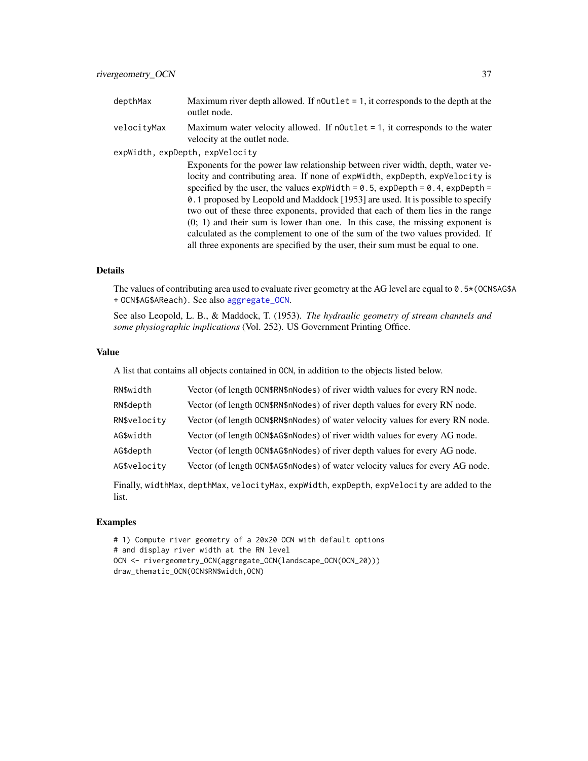- <span id="page-36-0"></span>depthMax Maximum river depth allowed. If nOutlet = 1, it corresponds to the depth at the outlet node.
- velocityMax Maximum water velocity allowed. If nOutlet = 1, it corresponds to the water velocity at the outlet node.

expWidth, expDepth, expVelocity

Exponents for the power law relationship between river width, depth, water velocity and contributing area. If none of expWidth, expDepth, expVelocity is specified by the user, the values expWidth =  $0.5$ , expDepth =  $0.4$ , expDepth = 0.1 proposed by Leopold and Maddock [1953] are used. It is possible to specify two out of these three exponents, provided that each of them lies in the range (0; 1) and their sum is lower than one. In this case, the missing exponent is calculated as the complement to one of the sum of the two values provided. If all three exponents are specified by the user, their sum must be equal to one.

#### Details

The values of contributing area used to evaluate river geometry at the AG level are equal to 0.5\*(OCN\$AG\$A + OCN\$AG\$AReach). See also [aggregate\\_OCN](#page-2-1).

See also Leopold, L. B., & Maddock, T. (1953). *The hydraulic geometry of stream channels and some physiographic implications* (Vol. 252). US Government Printing Office.

#### Value

A list that contains all objects contained in OCN, in addition to the objects listed below.

| RN\$width    | Vector (of length OCN\$RN\$nNodes) of river width values for every RN node.    |
|--------------|--------------------------------------------------------------------------------|
| RN\$depth    | Vector (of length OCN\$RN\$nNodes) of river depth values for every RN node.    |
| RN\$velocity | Vector (of length OCN\$RN\$nNodes) of water velocity values for every RN node. |
| AG\$width    | Vector (of length OCN\$AG\$nNodes) of river width values for every AG node.    |
| AG\$depth    | Vector (of length OCN\$AG\$nNodes) of river depth values for every AG node.    |
| AG\$velocity | Vector (of length OCN\$AG\$nNodes) of water velocity values for every AG node. |
|              |                                                                                |

Finally, widthMax, depthMax, velocityMax, expWidth, expDepth, expVelocity are added to the list.

#### Examples

# 1) Compute river geometry of a 20x20 OCN with default options # and display river width at the RN level OCN <- rivergeometry\_OCN(aggregate\_OCN(landscape\_OCN(OCN\_20))) draw\_thematic\_OCN(OCN\$RN\$width,OCN)